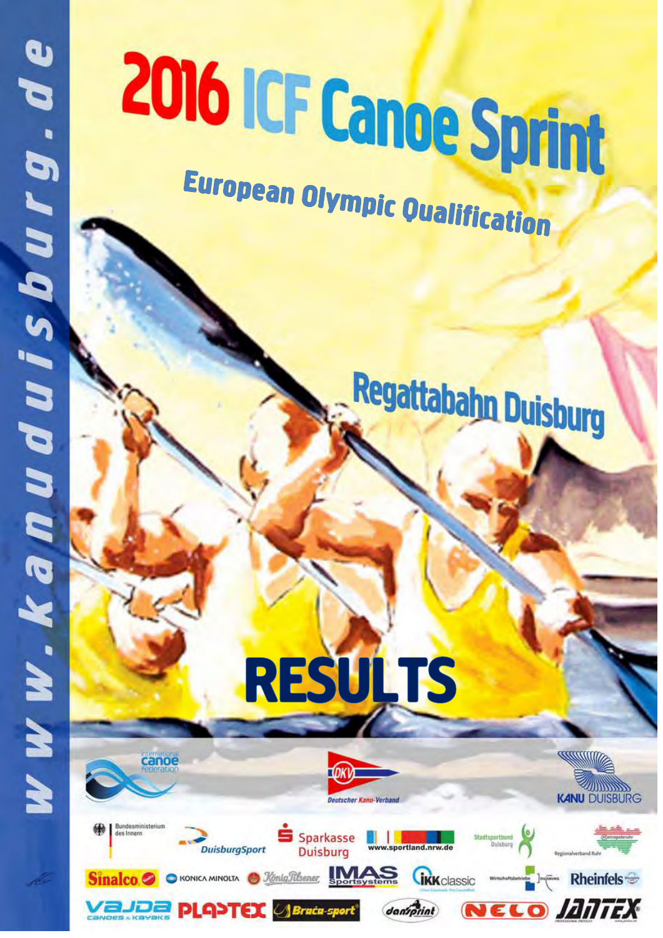canoe

**DuisburgSport** 

**VaJDa PLOYTEX Brata-sport** 

des Inners

# 2016 ICF Canoe Sprint **European Olympic Qualification**

Regattabahn Duisburg

**RESULTS** 

Sparkasse

**Duisburg** 

**O KONICA MINOLTA O** *Xonig Stisener* **Sportsvstems** 

- T

daniprint

**CIKK** classic



**Rheinfels** 

NELO ANTEX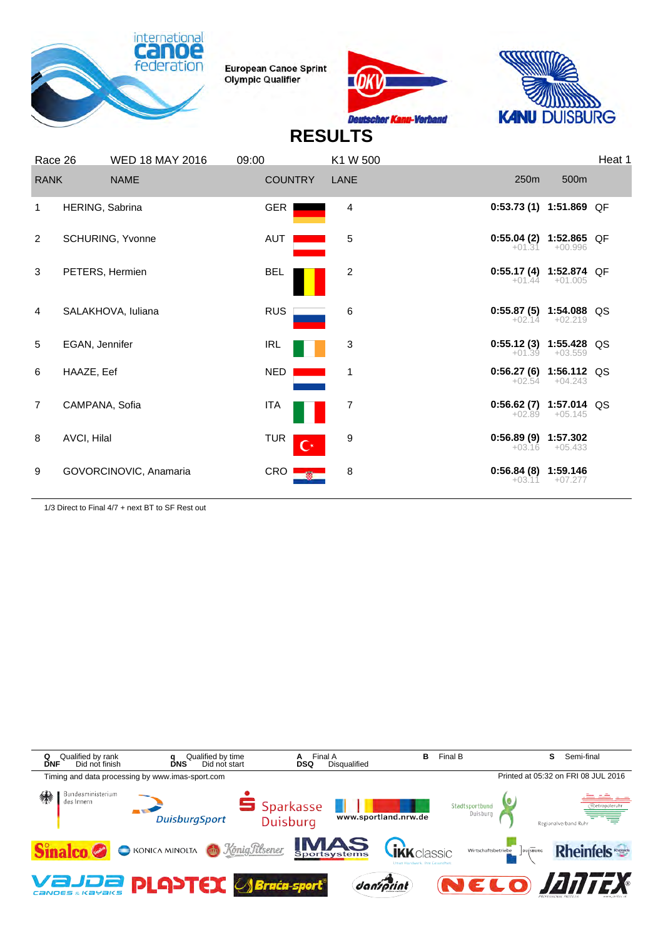





# **RESULTS**

| Race 26        |                 | <b>WED 18 MAY 2016</b> | 09:00          | K1 W 500            |                                      |                  | Heat 1 |
|----------------|-----------------|------------------------|----------------|---------------------|--------------------------------------|------------------|--------|
| <b>RANK</b>    |                 | <b>NAME</b>            | <b>COUNTRY</b> | LANE                | 250 <sub>m</sub>                     | 500m             |        |
| 1              | HERING, Sabrina |                        | <b>GER</b>     | 4                   | $0:53.73(1)$ 1:51.869 QF             |                  |        |
| $\overline{2}$ |                 | SCHURING, Yvonne       | AUT            | 5                   | $0:55.04(2)$ 1:52.865 QF<br>$+01.31$ | $+00.996$        |        |
| 3              | PETERS, Hermien |                        | <b>BEL</b>     | 2                   | $0:55.17(4)$ 1:52.874 QF             | $+01.44 +01.005$ |        |
| 4              |                 | SALAKHOVA, Iuliana     | <b>RUS</b>     | 6                   | $0:55.87(5)$ 1:54.088 QS<br>$+02.14$ | $+02.219$        |        |
| 5              | EGAN, Jennifer  |                        | IRL            | 3                   | $0:55.12(3)$ 1:55.428 QS             | $+01.39 +03.559$ |        |
| 6              | HAAZE, Eef      |                        | NED.           | 1                   | $0:56.27(6)$ 1:56.112 QS             | $+02.54 +04.243$ |        |
| $\overline{7}$ | CAMPANA, Sofia  |                        | ITA            | 7                   | $0:56.62(7)$ 1:57.014 QS<br>$+02.89$ | $+05.145$        |        |
| 8              | AVCI, Hilal     |                        | <b>TUR</b>     | 9<br>$\mathbf{C}^*$ | $0:56.89(9)$ 1:57.302<br>$+03.16$    | $+05.433$        |        |
| 9              |                 | GOVORCINOVIC, Anamaria | CRO            | 8                   | $0:56.84(8)$ 1:59.146<br>$+03.11$    | $+07.277$        |        |
|                |                 |                        |                |                     |                                      |                  |        |

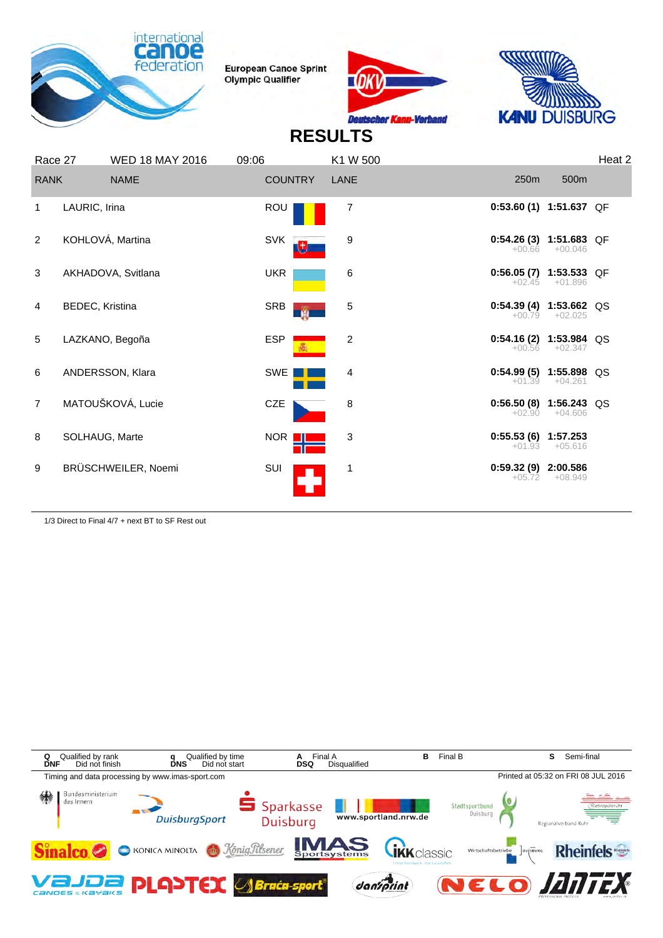





## **RESULTS**

| Race 27        |                 | <b>WED 18 MAY 2016</b> | 09:06      |                | K1 W 500       |                                      |           | Heat 2 |
|----------------|-----------------|------------------------|------------|----------------|----------------|--------------------------------------|-----------|--------|
| <b>RANK</b>    |                 | <b>NAME</b>            |            | <b>COUNTRY</b> | LANE           | 250m                                 | 500m      |        |
| $\mathbf{1}$   | LAURIC, Irina   |                        | ROU        |                | 7              | $0:53.60(1)$ 1:51.637 QF             |           |        |
| 2              |                 | KOHLOVÁ, Martina       | <b>SVK</b> | 电              | 9              | $0:54.26(3)$ 1:51.683 QF<br>$+00.66$ | $+00.046$ |        |
| 3              |                 | AKHADOVA, Svitlana     | <b>UKR</b> |                | 6              | $0:56.05(7)$ 1:53.533 QF<br>$+02.45$ | $+01.896$ |        |
| 4              | BEDEC, Kristina |                        | SRB        | <b>M</b>       | 5              | $0:54.39(4)$ 1:53.662 QS<br>$+00.79$ | $+02.025$ |        |
| 5              |                 | LAZKANO, Begoña        | <b>ESP</b> |                | $\overline{c}$ | $0:54.16(2)$ 1:53.984 QS<br>$+00.56$ | $+02.347$ |        |
| 6              |                 | ANDERSSON, Klara       | SWE        |                | 4              | $0:54.99(5)$ 1:55.898 QS<br>$+01.39$ | $+04.261$ |        |
| $\overline{7}$ |                 | MATOUŠKOVÁ, Lucie      | <b>CZE</b> |                | 8              | $0:56.50(8)$ 1:56.243 QS<br>$+02.90$ | $+04.606$ |        |
| 8              | SOLHAUG, Marte  |                        |            | NOR II         | 3              | $0:55.53(6)$ 1:57.253<br>$+01.93$    | $+05.616$ |        |
| 9              |                 | BRÜSCHWEILER, Noemi    | SUI        |                | $\mathbf 1$    | 0:59.32 (9) 2:00.586<br>$+05.72$     | $+08.949$ |        |

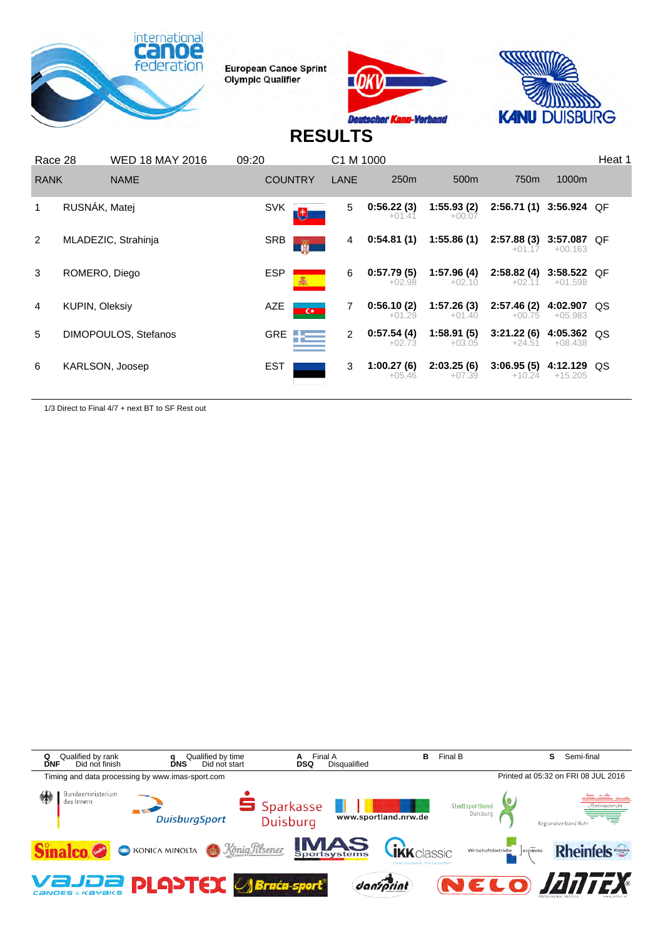





## **RESULTS**

|                | <b>WED 18 MAY 2016</b><br>Race 28 |                        | 09:20      |                | C1 M 1000      |                        |                        |                        |                            | Heat 1 |
|----------------|-----------------------------------|------------------------|------------|----------------|----------------|------------------------|------------------------|------------------------|----------------------------|--------|
| <b>RANK</b>    |                                   | <b>NAME</b>            |            | <b>COUNTRY</b> | LANE           | 250 <sub>m</sub>       | 500 <sub>m</sub>       | 750m                   | 1000m                      |        |
|                | RUSNÁK, Matej                     |                        | <b>SVK</b> | lt,            | 5              | 0:56.22(3)<br>$+01.41$ | 1:55.93(2)<br>$+00.07$ | 2:56.71(1)             | 3:56.924 OF                |        |
| $\overline{2}$ |                                   | MLADEZIC, Strahinja    | <b>SRB</b> |                | $\overline{4}$ | 0:54.81(1)             | 1:55.86(1)             | 2:57.88(3)<br>$+01.17$ | 3:57.087 QF<br>$+00.163$   |        |
| 3              | ROMERO, Diego                     |                        | <b>ESP</b> |                | 6              | 0:57.79(5)<br>$+02.98$ | 1:57.96(4)<br>$+02.10$ | 2:58.82(4)<br>$+02.11$ | $3:58.522$ QF<br>$+01.598$ |        |
| 4              | <b>KUPIN, Oleksiy</b>             |                        | AZE        | $\overline{C}$ | 7              | 0:56.10(2)<br>$+01.29$ | 1:57.26(3)<br>$+01.40$ | 2:57.46(2)<br>$+00.75$ | 4:02.907<br>$+05.983$      | -QS    |
| 5              |                                   | DIMOPOULOS, Stefanos   | <b>GRE</b> |                | $\overline{2}$ | 0:57.54(4)<br>$+02.73$ | 1:58.91(5)<br>$+03.05$ | 3:21.22(6)<br>$+24.51$ | 4:05.362 QS<br>$+08.438$   |        |
| 6              |                                   | <b>KARLSON, Joosep</b> | <b>EST</b> |                | 3              | 1:00.27(6)<br>$+05.46$ | 2:03.25(6)<br>$+07.39$ | 3:06.95(5)<br>$+10.24$ | 4:12.129 QS<br>$+15.205$   |        |

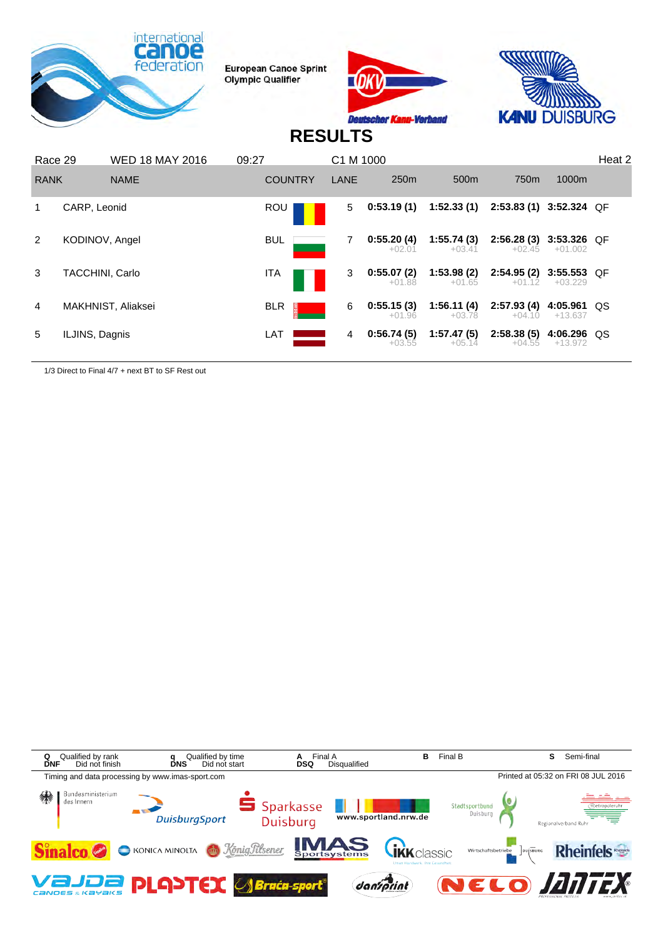





## **RESULTS**

|               | <b>WED 18 MAY 2016</b><br>Race 29 |                    | 09:27      |                | C1 M 1000 |                        |                        | Heat 2                  |                            |    |
|---------------|-----------------------------------|--------------------|------------|----------------|-----------|------------------------|------------------------|-------------------------|----------------------------|----|
| <b>RANK</b>   |                                   | <b>NAME</b>        |            | <b>COUNTRY</b> | LANE      | 250 <sub>m</sub>       | 500 <sub>m</sub>       | 750 <sub>m</sub>        | 1000m                      |    |
|               | CARP, Leonid                      |                    |            | ROU            | 5         | 0:53.19(1)             | 1:52.33(1)             | 2:53.83 (1) 3:52.324 QF |                            |    |
| $\mathcal{P}$ | KODINOV, Angel                    |                    | <b>BUL</b> |                |           | 0:55.20(4)<br>$+02.01$ | 1:55.74(3)<br>$+03.41$ | 2:56.28(3)<br>$+02.45$  | 3:53.326 QF<br>$+01.002$   |    |
| 3             | TACCHINI, Carlo                   |                    | ITA        |                | 3         | 0:55.07(2)<br>$+01.88$ | 1:53.98(2)<br>$+01.65$ | 2:54.95(2)<br>$+01.12$  | $3:55.553$ QF<br>$+03.229$ |    |
| 4             |                                   | MAKHNIST, Aliaksei | <b>BLR</b> |                | 6         | 0:55.15(3)<br>$+01.96$ | 1:56.11(4)<br>$+03.78$ | 2:57.93(4)<br>$+04.10$  | 4:05.961<br>$+13.637$      | QS |
| 5             | ILJINS, Dagnis                    |                    | LAT        |                | 4         | 0:56.74(5)<br>$+03.55$ | 1:57.47(5)<br>$+05.14$ | 2:58.38(5)<br>$+04.55$  | 4:06.296 QS<br>+13.972     |    |

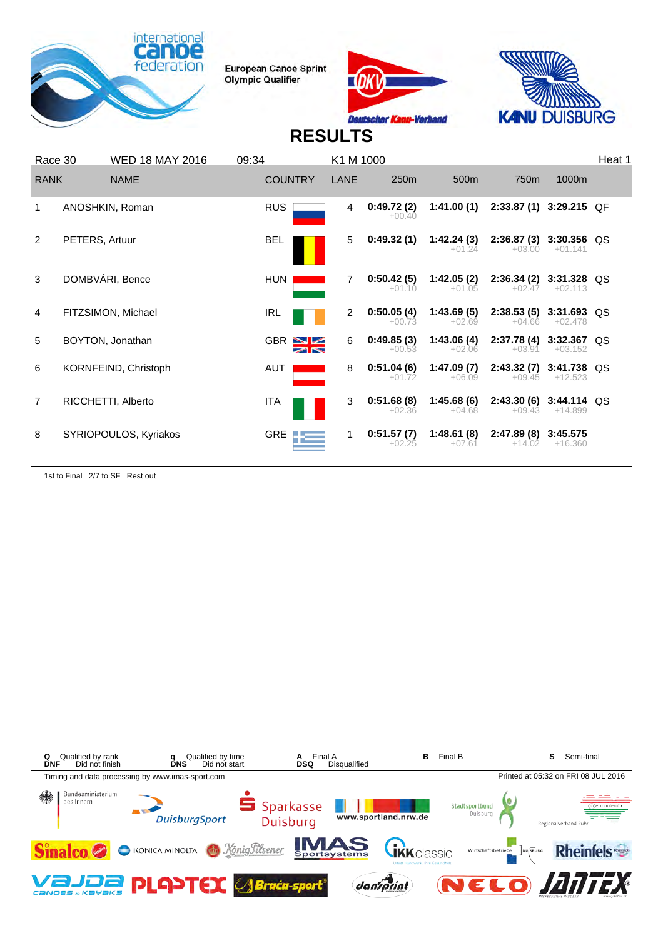





# **RESULTS**

|             | Race 30        | <b>WED 18 MAY 2016</b> | 09:34                                  | K1 M 1000      |                        |                        |                                      |                            | Heat 1 |
|-------------|----------------|------------------------|----------------------------------------|----------------|------------------------|------------------------|--------------------------------------|----------------------------|--------|
| <b>RANK</b> |                | <b>NAME</b>            | <b>COUNTRY</b>                         | <b>LANE</b>    | 250 <sub>m</sub>       | 500 <sub>m</sub>       | 750 <sub>m</sub>                     | 1000m                      |        |
|             |                | ANOSHKIN, Roman        | <b>RUS</b>                             | 4              | 0:49.72(2)<br>$+00.40$ | 1:41.00(1)             | 2:33.87 (1) 3:29.215 QF              |                            |        |
| 2           | PETERS, Artuur |                        | <b>BEL</b>                             | 5              | 0:49.32(1)             | 1:42.24(3)<br>$+01.24$ | 2:36.87(3)<br>$+03.00$               | 3:30.356 QS<br>$+01.141$   |        |
| 3           |                | DOMBVÁRI, Bence        | <b>HUN</b>                             | 7              | 0:50.42(5)<br>$+01.10$ | 1:42.05(2)<br>$+01.05$ | 2:36.34(2)<br>$+02.47$               | 3:31.328 QS<br>$+02.113$   |        |
| 4           |                | FITZSIMON, Michael     | <b>IRL</b>                             | $\overline{2}$ | 0:50.05(4)<br>$+00.73$ | 1:43.69(5)<br>$+02.69$ | $2:38.53(5)$ 3:31.693 QS<br>$+04.66$ | $+02.478$                  |        |
| 5           |                | BOYTON, Jonathan       | $GBR$ $\blacksquare$<br>$\blacksquare$ | 6              | 0:49.85(3)<br>$+00.53$ | 1:43.06(4)<br>$+02.06$ | 2:37.78 (4) 3:32.367 QS<br>$+03.91$  | $+03.152$                  |        |
| 6           |                | KORNFEIND, Christoph   | <b>AUT</b>                             | 8              | 0:51.04(6)<br>$+01.72$ | 1:47.09(7)<br>$+06.09$ | 2:43.32(7)<br>$+09.45$               | 3:41.738 QS<br>$+12.523$   |        |
| 7           |                | RICCHETTI, Alberto     | <b>ITA</b>                             | 3              | 0:51.68(8)<br>$+02.36$ | 1:45.68(6)<br>$+04.68$ | 2:43.30 (6)<br>$+09.43$              | $3:44.114$ QS<br>$+14.899$ |        |
| 8           |                | SYRIOPOULOS, Kyriakos  | <b>GRE</b>                             |                | 0:51.57(7)<br>$+02.25$ | 1:48.61(8)<br>$+07.61$ | 2:47.89(8)<br>$+14.02$               | 3:45.575<br>$+16.360$      |        |

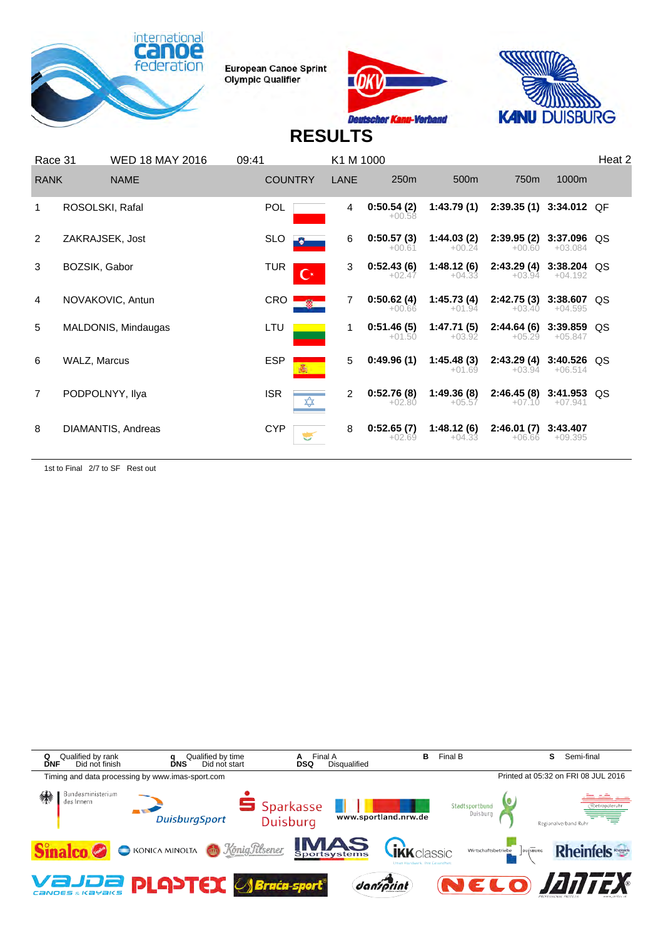





# **RESULTS**

| Race 31        |                     | <b>WED 18 MAY 2016</b> | 09:41          |                | K1 M 1000 |                        |                        |                                      |                          | Heat 2 |
|----------------|---------------------|------------------------|----------------|----------------|-----------|------------------------|------------------------|--------------------------------------|--------------------------|--------|
| <b>RANK</b>    |                     | <b>NAME</b>            | <b>COUNTRY</b> |                | LANE      | 250m                   | 500 <sub>m</sub>       | 750m                                 | 1000m                    |        |
|                | ROSOLSKI, Rafal     |                        | <b>POL</b>     |                | 4         | 0:50.54(2)<br>$+00.58$ | 1:43.79(1)             | 2:39.35 (1) 3:34.012 QF              |                          |        |
| 2              | ZAKRAJSEK, Jost     |                        | <b>SLO</b>     |                | 6         | 0:50.57(3)<br>$+00.61$ | 1:44.03(2)<br>$+00.24$ | 2:39.95 (2) 3:37.096 QS<br>$+00.60$  | $+03.084$                |        |
| 3              | BOZSIK, Gabor       |                        | <b>TUR</b>     | $\mathbf{C}^*$ | 3         | 0:52.43(6)<br>$+02.47$ | 1:48.12(6)<br>$+04.33$ | 2:43.29 (4) 3:38.204 QS<br>$+03.94$  | $+04.192$                |        |
| 4              | NOVAKOVIC, Antun    |                        | CRO !          |                | 7         | 0:50.62(4)<br>$+00.66$ | 1:45.73(4)<br>$+01.94$ | 2:42.75(3)<br>$+03.40$               | 3:38.607 QS<br>$+04.595$ |        |
| 5              |                     | MALDONIS, Mindaugas    | LTU            |                | 1         | 0:51.46(5)<br>$+01.50$ | 1:47.71(5)<br>$+03.92$ | 2:44.64(6)<br>$+05.29$               | 3:39.859<br>$+05.847$    | QS     |
| 6              | <b>WALZ, Marcus</b> |                        | <b>ESP</b>     |                | 5         | 0:49.96(1)             | 1:45.48(3)<br>$+01.69$ | $2:43.29(4)$ 3:40.526 QS<br>$+03.94$ | $+06.514$                |        |
| $\overline{7}$ | PODPOLNYY, Ilya     |                        | <b>ISR</b>     |                | 2         | 0:52.76(8)<br>$+02.80$ | 1:49.36(8)<br>$+05.57$ | $2:46.45(8)$ 3:41.953 QS<br>$+07.10$ | $+07.941$                |        |
| 8              |                     | DIAMANTIS, Andreas     | <b>CYP</b>     |                | 8         | 0:52.65(7)<br>$+02.69$ | 1:48.12(6)<br>$+04.33$ | 2:46.01(7)<br>$+06.66$               | 3:43.407<br>$+09.395$    |        |

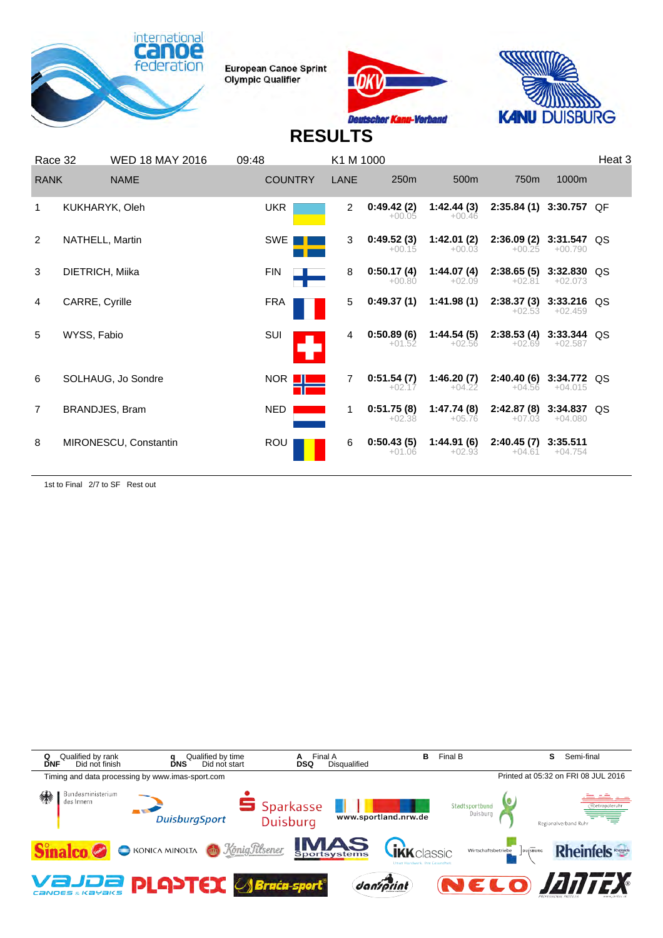





# **RESULTS**

| Race 32        |                 | <b>WED 18 MAY 2016</b> | 09:48          | K1 M 1000   |                        |                        |                                      |                       | Heat <sub>3</sub> |
|----------------|-----------------|------------------------|----------------|-------------|------------------------|------------------------|--------------------------------------|-----------------------|-------------------|
| <b>RANK</b>    |                 | <b>NAME</b>            | <b>COUNTRY</b> | <b>LANE</b> | 250 <sub>m</sub>       | 500m                   | 750m                                 | 1000m                 |                   |
|                | KUKHARYK, Oleh  |                        | <b>UKR</b>     | 2           | 0:49.42(2)<br>$+00.05$ | 1:42.44(3)<br>$+00.46$ | 2:35.84 (1) 3:30.757 QF              |                       |                   |
| 2              | NATHELL, Martin |                        | SWE            | 3           | 0:49.52(3)<br>$+00.15$ | 1:42.01(2)<br>$+00.03$ | $2:36.09(2)$ 3:31.547 QS<br>$+00.25$ | $+00.790$             |                   |
| 3              | DIETRICH, Miika |                        | <b>FIN</b>     | 8           | 0:50.17(4)<br>$+00.80$ | 1:44.07(4)<br>$+02.09$ | $2:38.65(5)$ 3:32.830 QS<br>$+02.81$ | $+02.073$             |                   |
| 4              | CARRE, Cyrille  |                        | <b>FRA</b>     | 5           | 0:49.37(1)             | 1:41.98(1)             | $2:38.37(3)$ 3:33.216 QS<br>$+02.53$ | $+02.459$             |                   |
| 5              | WYSS, Fabio     |                        | SUI            | 4           | 0:50.89(6)<br>$+01.52$ | 1:44.54(5)<br>$+02.56$ | $2:38.53(4)$ 3:33.344 QS<br>$+02.69$ | $+02.587$             |                   |
| 6              |                 | SOLHAUG, Jo Sondre     | NOR <b>II</b>  | 7           | 0:51.54(7)<br>$+02.17$ | 1:46.20(7)<br>$+04.22$ | 2:40.40 (6) 3:34.772 QS<br>$+04.56$  | $+04.015$             |                   |
| $\overline{7}$ | BRANDJES, Bram  |                        | <b>NED</b>     | 1           | 0:51.75(8)<br>$+02.38$ | 1:47.74(8)<br>$+05.76$ | 2:42.87 (8) 3:34.837 QS<br>$+07.03$  | $+04.080$             |                   |
| 8              |                 | MIRONESCU, Constantin  | <b>ROU</b>     | 6           | 0:50.43(5)<br>$+01.06$ | 1:44.91(6)<br>$+02.93$ | 2:40.45(7)<br>$+04.61$               | 3:35.511<br>$+04.754$ |                   |

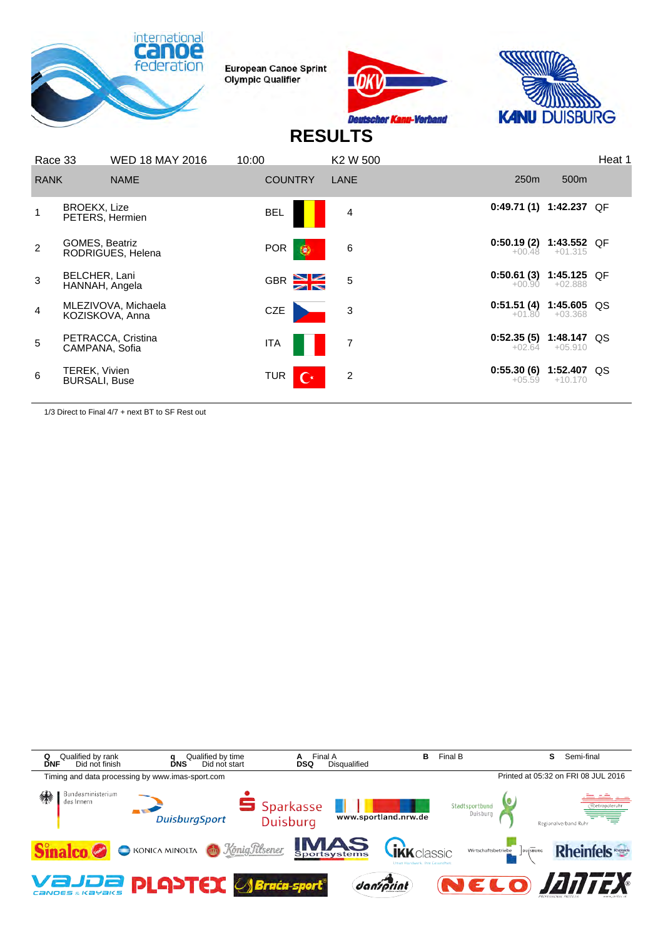





## **RESULTS**

| Race 33        |                                       | <b>WED 18 MAY 2016</b>                 | 10:00                        | K2 W 500       |                                      |                  | Heat 1 |
|----------------|---------------------------------------|----------------------------------------|------------------------------|----------------|--------------------------------------|------------------|--------|
| <b>RANK</b>    |                                       | <b>NAME</b>                            | <b>COUNTRY</b>               | LANE           | 250 <sub>m</sub>                     | 500 <sub>m</sub> |        |
|                | BROEKX, Lize<br>PETERS, Hermien       |                                        | <b>BEL</b>                   | 4              | 0:49.71 (1) 1:42.237 QF              |                  |        |
| $\overline{2}$ | <b>GOMES, Beatriz</b>                 | RODRIGUES, Helena                      | <b>POR</b><br>$\circ$        | 6              | $0:50.19(2)$ 1:43.552 QF<br>$+00.48$ | $+01.315$        |        |
| 3              | BELCHER, Lani<br>HANNAH, Angela       |                                        | GBR <sup>2</sup>             | 5              | $0:50.61(3)$ 1:45.125 QF<br>$+00.90$ | $+02.888$        |        |
| 4              |                                       | MLEZIVOVA, Michaela<br>KOZISKOVA, Anna | CZE                          | 3              | $0:51.51(4)$ 1:45.605 QS<br>$+01.80$ | $+03.368$        |        |
| 5              | CAMPANA, Sofia                        | PETRACCA, Cristina                     | <b>ITA</b>                   | $\overline{7}$ | $0:52.35(5)$ 1:48.147 QS<br>$+02.64$ | $+05.910$        |        |
| 6              | TEREK, Vivien<br><b>BURSALI, Buse</b> |                                        | <b>TUR</b><br>$\mathbf{C}^*$ | 2              | $0:55.30(6)$ 1:52.407 QS<br>$+05.59$ | $+10.170$        |        |
|                |                                       |                                        |                              |                |                                      |                  |        |

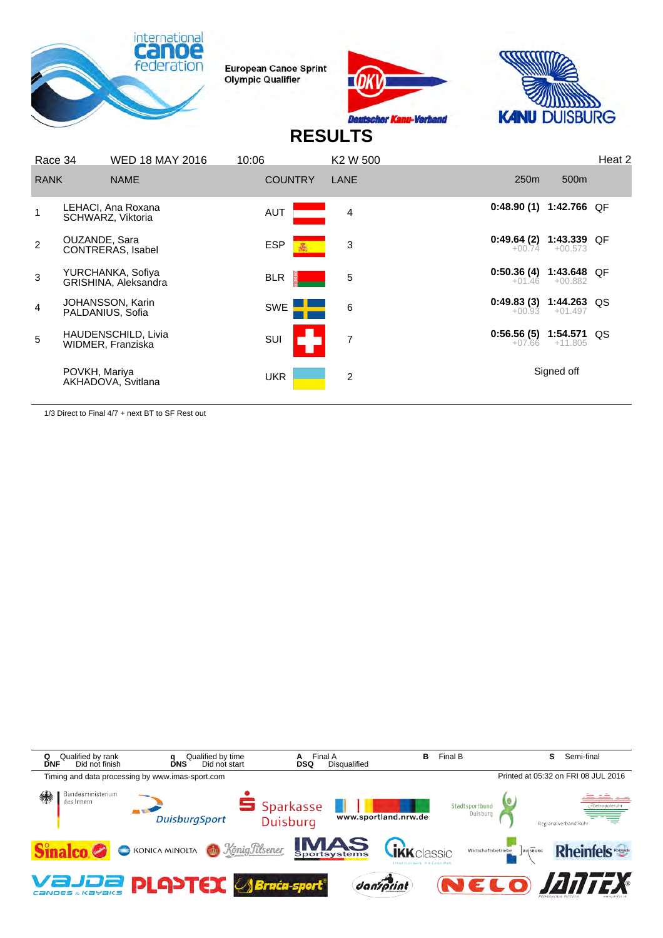





## **RESULTS**

| 250 <sub>m</sub><br>500 <sub>m</sub><br><b>COUNTRY</b><br><b>RANK</b><br><b>NAME</b><br>LANE<br>0:48.90(1)<br>1:42.766 QF<br>LEHACI, Ana Roxana<br><b>AUT</b><br>4<br>SCHWARZ, Viktoria<br>$0:49.64(2)$ 1:43.339 QF<br>OUZANDE, Sara<br>2<br><b>ESP</b><br>3<br>$+00.573$<br>$+00.74$<br><b>CONTRERAS, Isabel</b><br>$0:50.36(4)$ 1:43.648 QF<br>YURCHANKA, Sofiya<br>3<br>5<br><b>BLR</b><br>+00.882<br>$+01.46$<br>GRISHINA, Aleksandra<br>$0:49.83(3)$ 1:44.263 QS<br>JOHANSSON, Karin<br>SWE<br>6<br>4<br>$+00.93$<br>$+01.497$<br>PALDANIUS, Sofia<br>$0:56.56(5)$ 1:54.571 QS<br><b>HAUDENSCHILD, Livia</b><br>5<br><b>SUI</b><br>7<br>$+11.805$<br>+07.66<br>WIDMER, Franziska<br>Signed off<br>POVKH, Mariya<br><b>UKR</b><br>2<br>AKHADOVA, Svitlana | Race 34 | <b>WED 18 MAY 2016</b> | 10:06 | K2 W 500 |  | Heat 2 |
|---------------------------------------------------------------------------------------------------------------------------------------------------------------------------------------------------------------------------------------------------------------------------------------------------------------------------------------------------------------------------------------------------------------------------------------------------------------------------------------------------------------------------------------------------------------------------------------------------------------------------------------------------------------------------------------------------------------------------------------------------------------|---------|------------------------|-------|----------|--|--------|
|                                                                                                                                                                                                                                                                                                                                                                                                                                                                                                                                                                                                                                                                                                                                                               |         |                        |       |          |  |        |
|                                                                                                                                                                                                                                                                                                                                                                                                                                                                                                                                                                                                                                                                                                                                                               |         |                        |       |          |  |        |
|                                                                                                                                                                                                                                                                                                                                                                                                                                                                                                                                                                                                                                                                                                                                                               |         |                        |       |          |  |        |
|                                                                                                                                                                                                                                                                                                                                                                                                                                                                                                                                                                                                                                                                                                                                                               |         |                        |       |          |  |        |
|                                                                                                                                                                                                                                                                                                                                                                                                                                                                                                                                                                                                                                                                                                                                                               |         |                        |       |          |  |        |
|                                                                                                                                                                                                                                                                                                                                                                                                                                                                                                                                                                                                                                                                                                                                                               |         |                        |       |          |  |        |
|                                                                                                                                                                                                                                                                                                                                                                                                                                                                                                                                                                                                                                                                                                                                                               |         |                        |       |          |  |        |

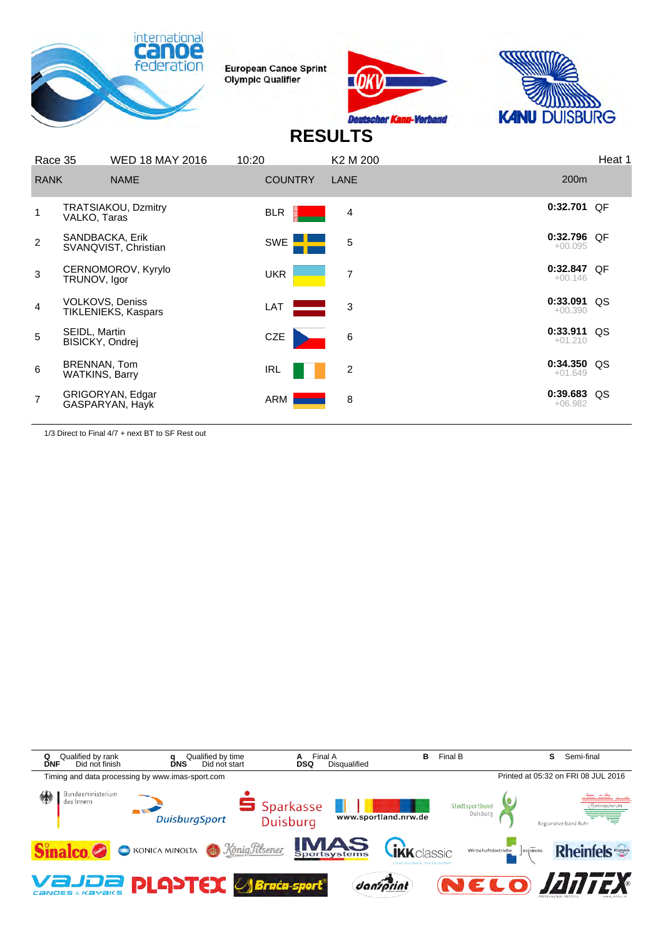





## **RESULTS**

| Race 35        |                                  | <b>WED 18 MAY 2016</b>                  | 10:20          | K <sub>2</sub> M <sub>200</sub> |                            | Heat 1 |
|----------------|----------------------------------|-----------------------------------------|----------------|---------------------------------|----------------------------|--------|
| <b>RANK</b>    |                                  | <b>NAME</b>                             | <b>COUNTRY</b> | LANE                            | 200 <sub>m</sub>           |        |
|                | VALKO, Taras                     | TRATSIAKOU, Dzmitry                     | <b>BLR</b>     | 4                               | $0:32.701$ OF              |        |
| $\overline{2}$ |                                  | SANDBACKA, Erik<br>SVANQVIST, Christian | SWE <b>E</b>   | 5                               | 0:32.796 QF<br>$+00.095$   |        |
| 3              | TRUNOV, Igor                     | CERNOMOROV, Kyrylo                      | <b>UKR</b>     | $\overline{7}$                  | $0:32.847$ OF<br>$+00.146$ |        |
| 4              | <b>VOLKOVS, Deniss</b>           | TIKLENIEKS, Kaspars                     | LAT            | 3                               | $0:33.091$ QS<br>$+00.390$ |        |
| 5              | SEIDL, Martin<br>BISICKY, Ondrej |                                         | <b>CZE</b>     | 6                               | $0:33.911$ QS<br>$+01.210$ |        |
| 6              | BRENNAN, Tom<br>WATKINS, Barry   |                                         | IRL            | 2                               | $0:34.350$ QS<br>$+01.649$ |        |
| 7              |                                  | GRIGORYAN, Edgar<br>GASPARYAN, Hayk     | ARM            | 8                               | 0:39.683 QS<br>$+06.982$   |        |
|                |                                  |                                         |                |                                 |                            |        |

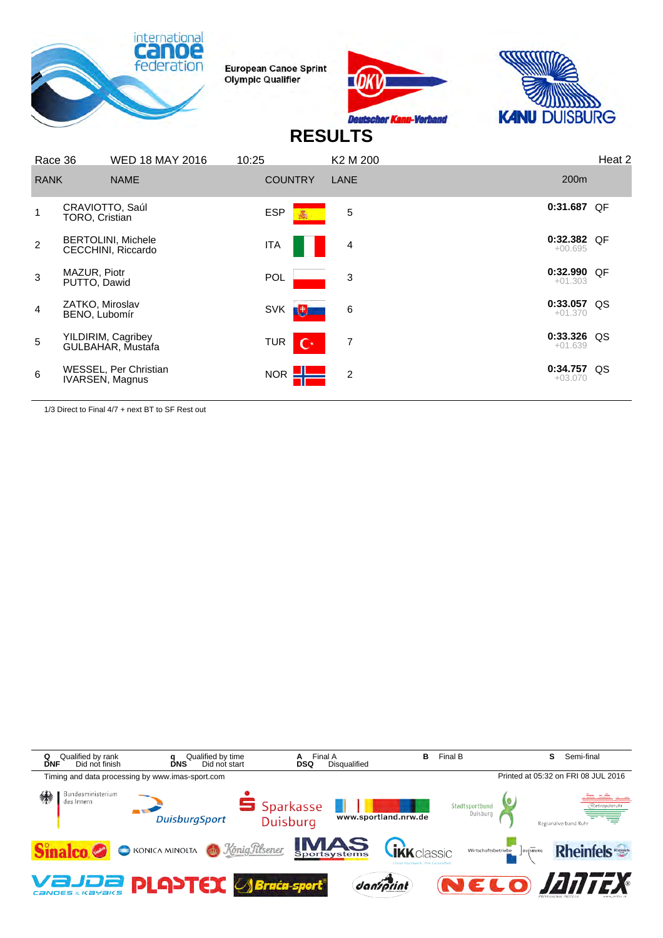





## **RESULTS**

| Race 36        |                                                 | <b>WED 18 MAY 2016</b> | 10:25      |                | K2 M 200       |                            | Heat 2 |
|----------------|-------------------------------------------------|------------------------|------------|----------------|----------------|----------------------------|--------|
| <b>RANK</b>    | <b>NAME</b>                                     |                        |            | <b>COUNTRY</b> | LANE           | 200m                       |        |
|                | CRAVIOTTO, Saúl<br>TORO, Cristian               |                        | <b>ESP</b> |                | 5              | 0:31.687 QF                |        |
| $\overline{2}$ | <b>BERTOLINI, Michele</b><br>CECCHINI, Riccardo |                        | ITA        |                | 4              | $0:32.382$ QF<br>$+00.695$ |        |
| 3              | MAZUR, Piotr<br>PUTTO, Dawid                    |                        | <b>POL</b> |                | 3              | 0:32.990 QF<br>$+01.303$   |        |
| $\overline{4}$ | ZATKO, Miroslav<br>BENO, Lubomír                |                        | <b>SVK</b> | 動              | 6              | $0:33.057$ QS<br>$+01.370$ |        |
| 5              | YILDIRIM, Cagribey<br>GULBAHAR, Mustafa         |                        | <b>TUR</b> | $\mathbf{C}^*$ | 7              | 0:33.326 QS<br>$+01.639$   |        |
| 6              | WESSEL, Per Christian<br>IVARSEN, Magnus        |                        | <b>NOR</b> |                | $\overline{2}$ | 0:34.757 QS<br>$+03.070$   |        |
|                |                                                 |                        |            |                |                |                            |        |

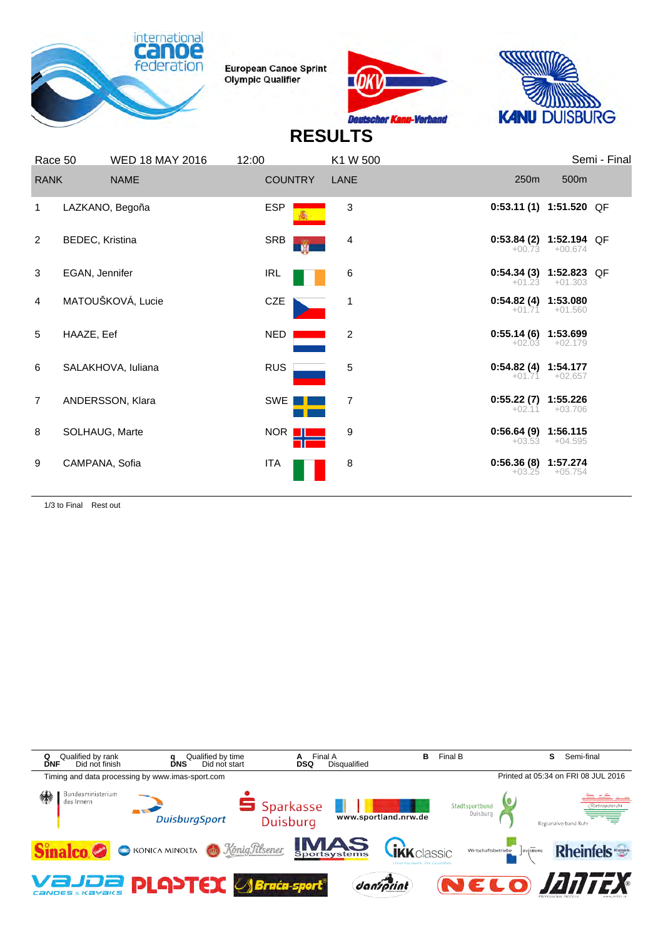





# **RESULTS**

|                | Race 50         | <b>WED 18 MAY 2016</b> | 12:00           | K1 W 500       |                                      |                  | Semi - Final |
|----------------|-----------------|------------------------|-----------------|----------------|--------------------------------------|------------------|--------------|
| <b>RANK</b>    |                 | <b>NAME</b>            | <b>COUNTRY</b>  | LANE           | 250 <sub>m</sub>                     | 500m             |              |
| 1              |                 | LAZKANO, Begoña        | <b>ESP</b>      | 3              | $0:53.11(1)$ 1:51.520 QF             |                  |              |
| 2              | BEDEC, Kristina |                        | SRB<br><b>M</b> | 4              | $0:53.84(2)$ 1:52.194 QF             | $+00.73 +00.674$ |              |
| 3              | EGAN, Jennifer  |                        | IRL             | 6              | $0:54.34(3)$ 1:52.823 QF<br>$+01.23$ | $+01.303$        |              |
| $\overline{4}$ |                 | MATOUŠKOVÁ, Lucie      | CZE             | $\mathbf 1$    | $0:54.82(4)$ 1:53.080                | $+01.71 +01.560$ |              |
| 5              | HAAZE, Eef      |                        | NED             | $\overline{c}$ | $0:55.14(6)$ 1:53.699<br>$+02.03$    | $+02.179$        |              |
| 6              |                 | SALAKHOVA, luliana     | <b>RUS</b>      | 5              | 0:54.82 (4) 1:54.177                 | $+01.71 +02.657$ |              |
| $\overline{7}$ |                 | ANDERSSON, Klara       | SWE             | 7              | $0:55.22(7)$ 1:55.226<br>$+02.11$    | $+03.706$        |              |
| 8              | SOLHAUG, Marte  |                        | NOR <b>III</b>  | 9              | $0:56.64(9)$ 1:56.115<br>$+03.53$    | $+04.595$        |              |
| 9              | CAMPANA, Sofia  |                        | ITA             | 8              | 0:56.36 (8) 1:57.274<br>$+03.25$     | $+05.754$        |              |
|                |                 |                        |                 |                |                                      |                  |              |

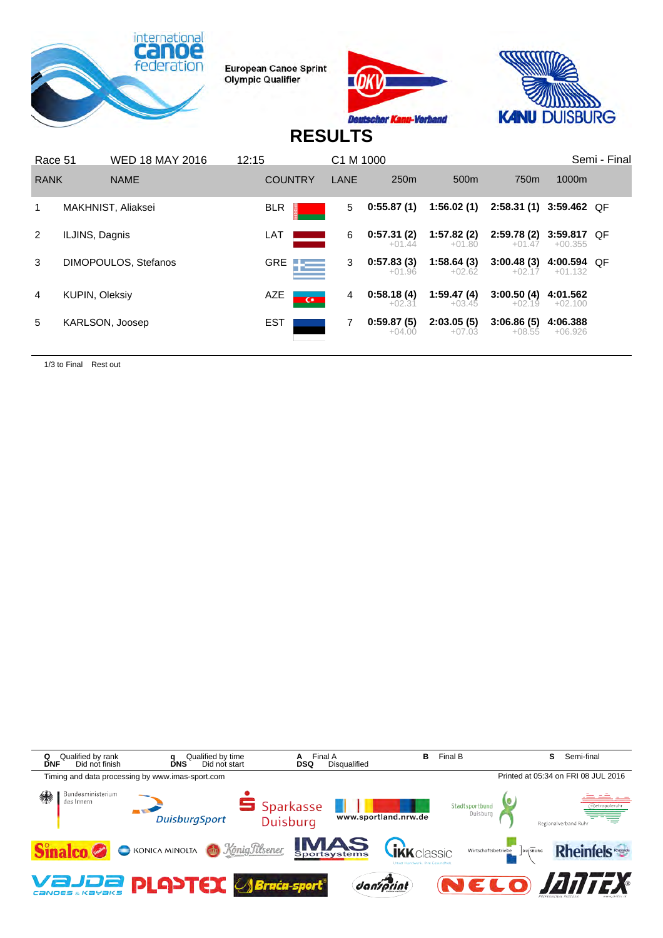





## **RESULTS**

| Race 51     |                       | <b>WED 18 MAY 2016</b> | 12:15 |                            | C <sub>1</sub> M <sub>1000</sub> |                        |                        |                         |                          | Semi - Final |
|-------------|-----------------------|------------------------|-------|----------------------------|----------------------------------|------------------------|------------------------|-------------------------|--------------------------|--------------|
| <b>RANK</b> |                       | <b>NAME</b>            |       | <b>COUNTRY</b>             | LANE                             | 250 <sub>m</sub>       | 500 <sub>m</sub>       | 750 <sub>m</sub>        | 1000m                    |              |
| 1           |                       | MAKHNIST, Aliaksei     |       | <b>BLR</b>                 | 5                                | 0:55.87(1)             | 1:56.02(1)             | 2:58.31 (1) 3:59.462 OF |                          |              |
| 2           | ILJINS, Dagnis        |                        |       | LAT                        | 6                                | 0:57.31(2)<br>$+01.44$ | 1:57.82(2)<br>$+01.80$ | 2:59.78(2)<br>$+01.47$  | 3:59.817 QF<br>$+00.355$ |              |
| 3           |                       | DIMOPOULOS, Stefanos   |       | GRE $\qquad \qquad \qquad$ | 3                                | 0:57.83(3)<br>$+01.96$ | 1:58.64(3)<br>$+02.62$ | 3:00.48(3)<br>$+02.17$  | 4:00.594 QF<br>$+01.132$ |              |
| 4           | <b>KUPIN, Oleksiy</b> |                        |       | AZE<br>$\overline{C}$      | 4                                | 0:58.18(4)<br>$+02.31$ | 1:59.47(4)<br>$+03.45$ | 3:00.50(4)<br>$+02.19$  | 4:01.562<br>$+02.100$    |              |
| 5           |                       | KARLSON, Joosep        |       | EST                        | 7                                | 0:59.87(5)<br>$+04.00$ | 2:03.05(5)<br>$+07.03$ | 3:06.86(5)<br>$+08.55$  | 4:06.388<br>$+06.926$    |              |

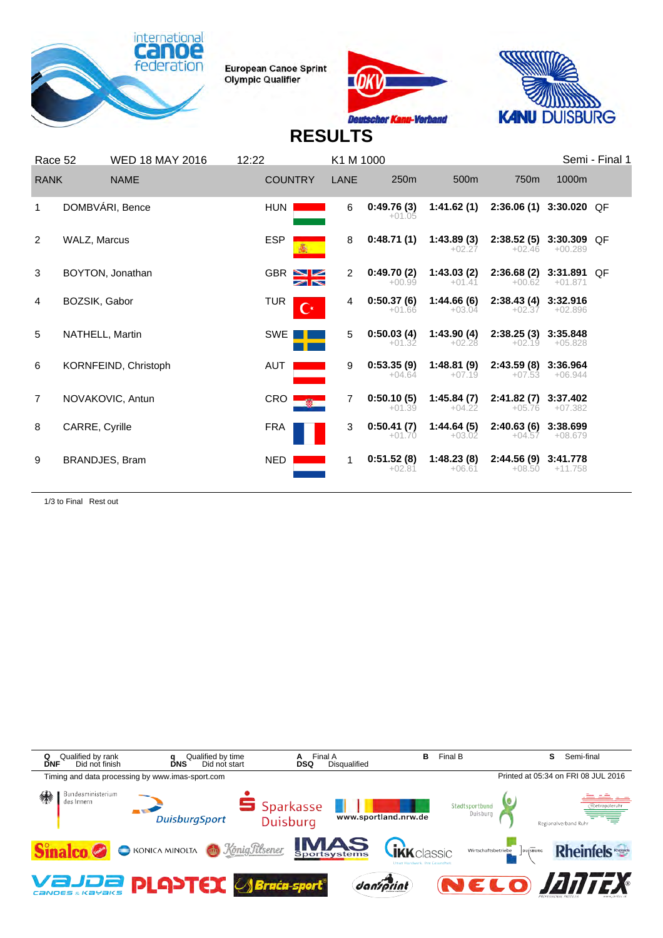





# **RESULTS**

| Race 52        | <b>WED 18 MAY 2016</b> | 12:22                        | K1 M 1000      |                        |                        |                                     |                       | Semi - Final 1 |
|----------------|------------------------|------------------------------|----------------|------------------------|------------------------|-------------------------------------|-----------------------|----------------|
| <b>RANK</b>    | <b>NAME</b>            | <b>COUNTRY</b>               | LANE           | 250m                   | 500m                   | 750 <sub>m</sub>                    | 1000m                 |                |
| 1              | DOMBVÁRI, Bence        | <b>HUN</b>                   | 6              | 0:49.76(3)<br>$+01.05$ | 1:41.62(1)             | 2:36.06 (1) 3:30.020 QF             |                       |                |
| 2              | WALZ, Marcus           | <b>ESP</b>                   | 8              | 0:48.71(1)             | 1:43.89(3)<br>$+02.27$ | 2:38.52 (5) 3:30.309 QF<br>$+02.46$ | $+00.289$             |                |
| 3              | BOYTON, Jonathan       | $GBR \geq 2$                 | $\overline{2}$ | 0:49.70(2)<br>$+00.99$ | 1:43.03(2)<br>$+01.41$ | 2:36.68 (2) 3:31.891 QF<br>$+00.62$ | $+01.871$             |                |
| 4              | BOZSIK, Gabor          | <b>TUR</b><br>$\mathbf{C}^*$ | 4              | 0:50.37(6)<br>$+01.66$ | 1:44.66(6)<br>$+03.04$ | 2:38.43 (4) 3:32.916<br>$+02.37$    | $+02.896$             |                |
| 5              | NATHELL, Martin        | SWE                          | 5              | 0:50.03(4)<br>$+01.32$ | 1:43.90(4)<br>$+02.28$ | 2:38.25(3)<br>$+02.19$              | 3:35.848<br>$+05.828$ |                |
| 6              | KORNFEIND, Christoph   | AUT                          | 9              | 0:53.35(9)<br>$+04.64$ | 1:48.81(9)<br>$+07.19$ | 2:43.59(8)<br>$+07.53$              | 3:36.964<br>$+06.944$ |                |
| $\overline{7}$ | NOVAKOVIC, Antun       | <b>CRO</b>                   | 7              | 0:50.10(5)<br>$+01.39$ | 1:45.84(7)<br>$+04.22$ | 2:41.82(7)<br>$+05.76$              | 3:37.402<br>$+07.382$ |                |
| 8              | CARRE, Cyrille         | <b>FRA</b>                   | 3              | 0:50.41(7)<br>$+01.70$ | 1:44.64(5)<br>$+03.02$ | 2:40.63 (6) 3:38.699<br>$+04.57$    | $+08.679$             |                |
| 9              | BRANDJES, Bram         | NED.                         | 1              | 0:51.52(8)<br>$+02.81$ | 1:48.23(8)<br>$+06.61$ | 2:44.56(9)<br>$+08.50$              | 3:41.778<br>$+11.758$ |                |

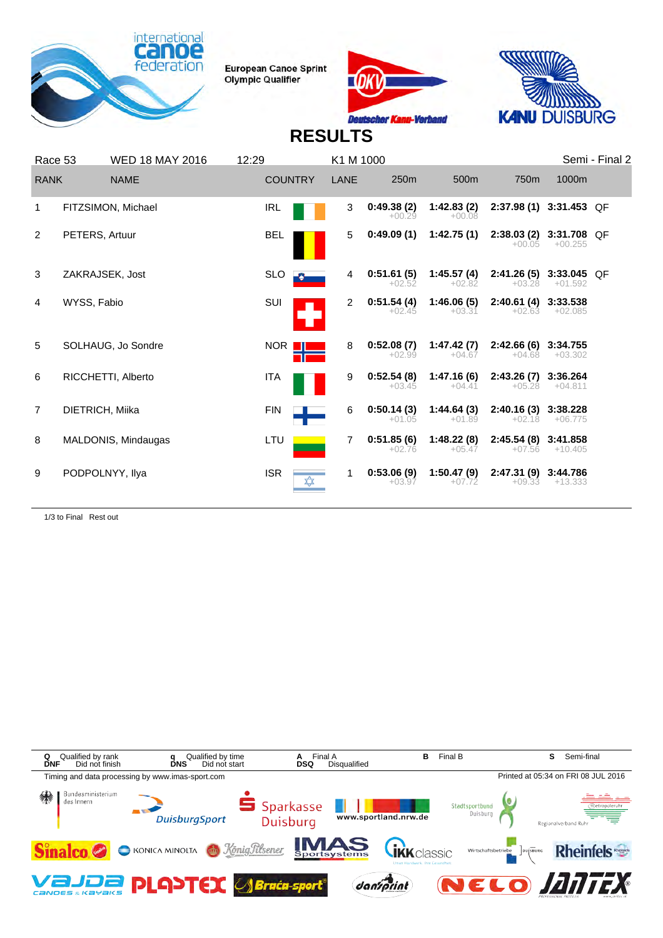





## **RESULTS**

| Race 53        |                 | <b>WED 18 MAY 2016</b> | 12:29        |                | K1 M 1000      |                        |                        |                                     |                       | Semi - Final 2 |
|----------------|-----------------|------------------------|--------------|----------------|----------------|------------------------|------------------------|-------------------------------------|-----------------------|----------------|
| <b>RANK</b>    |                 | <b>NAME</b>            |              | <b>COUNTRY</b> | <b>LANE</b>    | 250m                   | 500m                   | 750 <sub>m</sub>                    | 1000m                 |                |
|                |                 | FITZSIMON, Michael     | <b>IRL</b>   |                | 3              | 0:49.38(2)<br>$+00.29$ | 1:42.83(2)<br>$+00.08$ | 2:37.98 (1) 3:31.453 QF             |                       |                |
| 2              | PETERS, Artuur  |                        | <b>BEL</b>   |                | 5              | 0:49.09(1)             | 1:42.75(1)             | 2:38.03 (2) 3:31.708 QF<br>$+00.05$ | $+00.255$             |                |
| 3              | ZAKRAJSEK, Jost |                        | <b>SLO</b>   |                | 4              | 0:51.61(5)<br>$+02.52$ | 1:45.57(4)<br>$+02.82$ | 2:41.26 (5) 3:33.045 QF<br>$+03.28$ | $+01.592$             |                |
| 4              | WYSS, Fabio     |                        | SUI          |                | 2              | 0:51.54(4)<br>$+02.45$ | 1:46.06(5)<br>$+03.31$ | 2:40.61 (4) 3:33.538<br>$+02.63$    | $+02.085$             |                |
| 5              |                 | SOLHAUG, Jo Sondre     | NOR <b>I</b> |                | 8              | 0:52.08(7)<br>$+02.99$ | 1:47.42(7)<br>$+04.67$ | 2:42.66 (6) 3:34.755<br>$+04.68$    | $+03.302$             |                |
| 6              |                 | RICCHETTI, Alberto     | ITA          |                | 9              | 0:52.54(8)<br>$+03.45$ | 1:47.16(6)<br>$+04.41$ | 2:43.26(7)<br>$+05.28$              | 3:36.264<br>$+04.811$ |                |
| $\overline{7}$ | DIETRICH, Miika |                        | <b>FIN</b>   |                | 6              | 0:50.14(3)<br>$+01.05$ | 1:44.64(3)<br>$+01.89$ | 2:40.16 (3) 3:38.228<br>$+02.18$    | $+06.775$             |                |
| 8              |                 | MALDONIS, Mindaugas    | LTU          |                | $\overline{7}$ | 0:51.85(6)<br>$+02.76$ | 1:48.22(8)<br>$+05.47$ | 2:45.54 (8) 3:41.858<br>$+07.56$    | +10.405               |                |
| 9              | PODPOLNYY, Ilya |                        | <b>ISR</b>   |                | 1              | 0:53.06(9)<br>$+03.97$ | 1:50.47(9)<br>$+07.72$ | 2:47.31 (9)<br>$+09.33$             | 3:44.786<br>$+13.333$ |                |

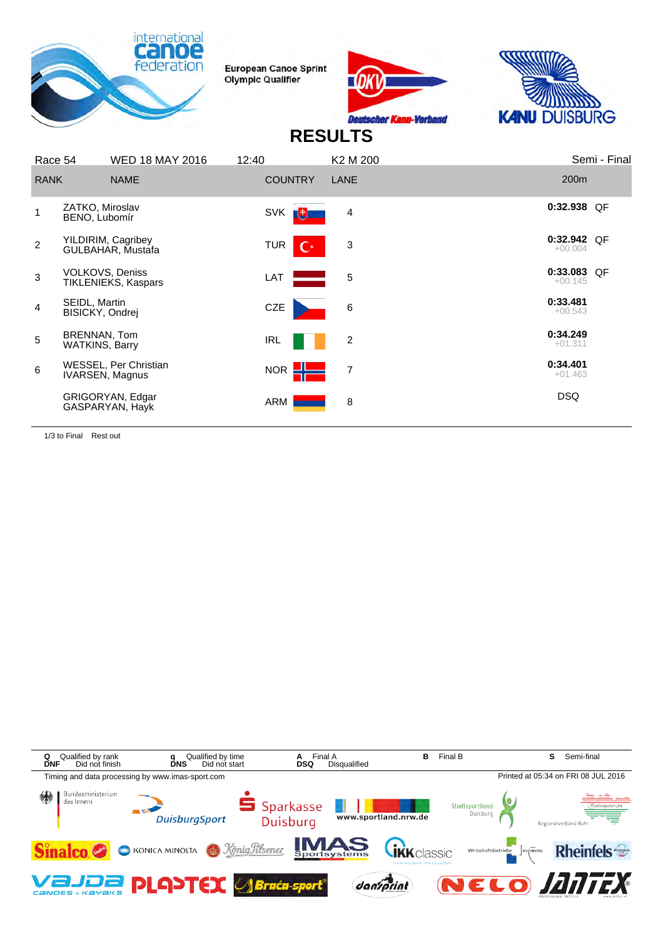





## **RESULTS**

| Race 54                                            | <b>WED 18 MAY 2016</b>                               | 12:40                        | K2 M 200       | Semi - Final             |
|----------------------------------------------------|------------------------------------------------------|------------------------------|----------------|--------------------------|
| <b>RANK</b>                                        | <b>NAME</b>                                          | <b>COUNTRY</b>               | LANE           | 200m                     |
| ZATKO, Miroslav<br>BENO, Lubomír                   |                                                      | <b>SVK</b><br>動              | 4              | $0:32.938$ OF            |
| $\overline{2}$                                     | YILDIRIM, Cagribey<br>GULBAHAR, Mustafa              | <b>TUR</b><br>$\mathbf{C}^*$ | $\mathbf{3}$   | 0:32.942 QF<br>$+00.004$ |
| 3                                                  | <b>VOLKOVS, Deniss</b><br><b>TIKLENIEKS, Kaspars</b> | LAT                          | 5              | 0:33.083 QF<br>$+00.145$ |
| SEIDL, Martin<br>$\overline{4}$<br>BISICKY, Ondrej |                                                      | CZE                          | 6              | 0:33.481<br>$+00.543$    |
| BRENNAN, Tom<br>5<br><b>WATKINS, Barry</b>         |                                                      | IRL                          | $\overline{c}$ | 0:34.249<br>$+01.311$    |
| 6                                                  | WESSEL, Per Christian<br>IVARSEN, Magnus             | <b>NOR</b>                   | $\overline{7}$ | 0:34.401<br>$+01.463$    |
|                                                    | GRIGORYAN, Edgar<br>GASPARYAN, Hayk                  | ARM                          | 8              | <b>DSQ</b>               |
|                                                    |                                                      |                              |                |                          |

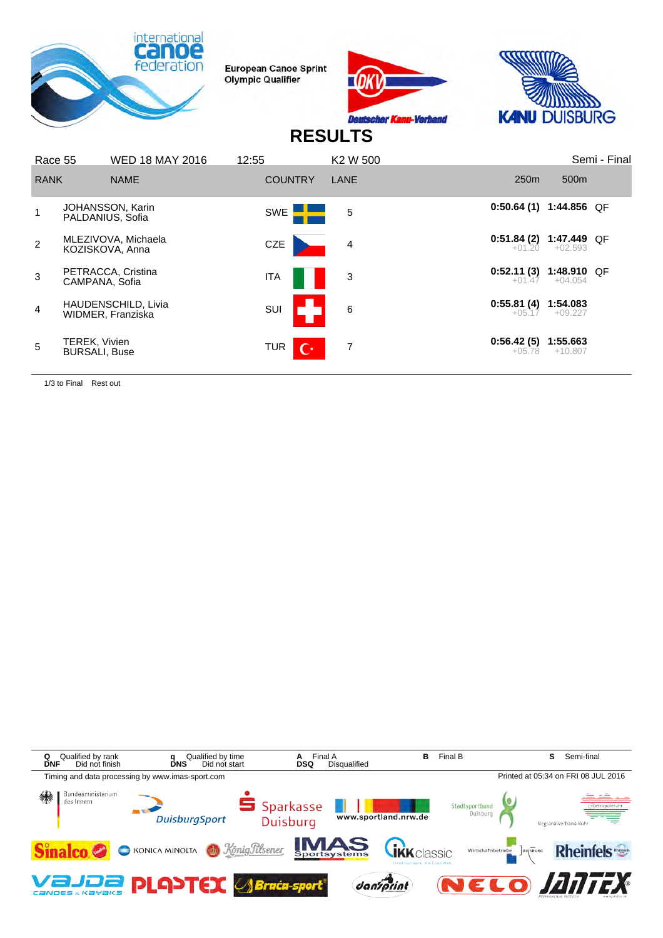





## **RESULTS**

| Race 55        |                                              | <b>WED 18 MAY 2016</b>                          | 12:55                 | K2 W 500 |                          |                          | Semi - Final |
|----------------|----------------------------------------------|-------------------------------------------------|-----------------------|----------|--------------------------|--------------------------|--------------|
| <b>RANK</b>    |                                              | <b>NAME</b>                                     | <b>COUNTRY</b>        | LANE     | 250 <sub>m</sub>         | 500 <sub>m</sub>         |              |
| 1              |                                              | JOHANSSON, Karin<br>PALDANIUS, Sofia            | SWE <b>ELL</b>        | 5        | $0:50.64(1)$ 1:44.856 QF |                          |              |
| $\overline{2}$ |                                              | MLEZIVOVA, Michaela<br>KOZISKOVA, Anna          | CZE                   | 4        | 0:51.84(2)<br>$+01.20$   | 1:47.449 QF<br>$+02.593$ |              |
| 3              | CAMPANA, Sofia                               | PETRACCA, Cristina                              | <b>ITA</b>            | 3        | 0:52.11(3)<br>$+01.47$   | 1:48.910 QF<br>$+04.054$ |              |
| $\overline{4}$ |                                              | <b>HAUDENSCHILD, Livia</b><br>WIDMER, Franziska | SUI                   | 6        | 0:55.81(4)<br>$+05.17$   | 1:54.083<br>$+09.227$    |              |
| 5              | <b>TEREK, Vivien</b><br><b>BURSALI, Buse</b> |                                                 | $\mathbf{C}^*$<br>TUR | 7        | 0:56.42(5)<br>$+05.78$   | 1:55.663<br>$+10.807$    |              |

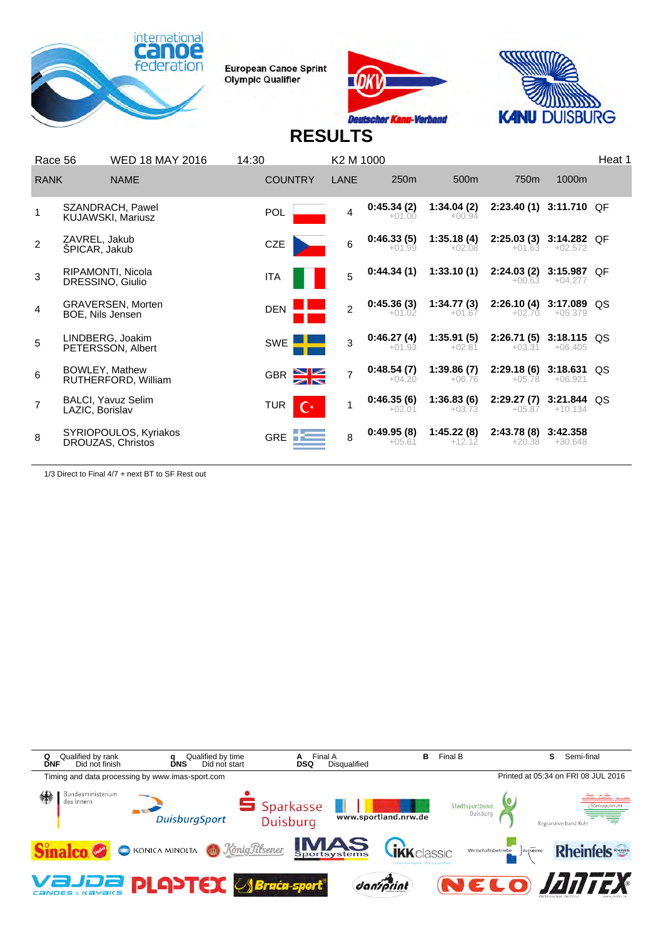





# **RESULTS**

| Race 56        |                                | <b>WED 18 MAY 2016</b>                       | 14:30                        | K2 M 1000      |                        |                        |                        |                            | Heat 1 |
|----------------|--------------------------------|----------------------------------------------|------------------------------|----------------|------------------------|------------------------|------------------------|----------------------------|--------|
| <b>RANK</b>    |                                | <b>NAME</b>                                  | <b>COUNTRY</b>               | LANE           | 250 <sub>m</sub>       | 500 <sub>m</sub>       | 750m                   | 1000m                      |        |
|                |                                | SZANDRACH, Pawel<br><b>KUJAWSKI, Mariusz</b> | <b>POL</b>                   | 4              | 0:45.34(2)<br>$+01.00$ | 1:34.04(2)<br>$+00.94$ | 2:23.40(1)             | 3:11.710 OF                |        |
| 2              | ZAVREL, Jakub<br>SPICAR, Jakub |                                              | CZE                          | 6              | 0:46.33(5)<br>$+01.99$ | 1:35.18(4)<br>$+02.08$ | 2:25.03(3)<br>$+01.63$ | 3:14.282 QF<br>$+02.572$   |        |
| 3              |                                | RIPAMONTI, Nicola<br>DRESSINO, Giulio        | ITA                          | 5              | 0:44.34(1)             | 1:33.10(1)             | 2:24.03(2)<br>$+00.63$ | 3:15.987 QF<br>$+04.277$   |        |
| 4              | BOE, Nils Jensen               | <b>GRAVERSEN, Morten</b>                     | <b>DEN</b>                   | $\mathfrak{p}$ | 0:45.36(3)<br>$+01.02$ | 1:34.77(3)<br>$+01.67$ | 2:26.10(4)<br>$+02.70$ | $3:17.089$ QS<br>$+05.379$ |        |
| 5              |                                | LINDBERG, Joakim<br>PETERSSON, Albert        | <b>SWE</b>                   | 3              | 0:46.27(4)<br>$+01.93$ | 1:35.91(5)<br>$+02.81$ | 2:26.71(5)<br>$+03.31$ | $3:18.115$ QS<br>$+06.405$ |        |
| 6              |                                | BOWLEY, Mathew<br>RUTHERFORD, William        | <b>GBR</b>                   | $\overline{7}$ | 0:48.54(7)<br>$+04.20$ | 1:39.86(7)<br>$+06.76$ | 2:29.18(6)<br>$+05.78$ | 3:18.631<br>$+06.921$      | QS     |
| $\overline{7}$ | LAZIC, Borislav                | <b>BALCI, Yavuz Selim</b>                    | <b>TUR</b><br>$\mathbf{C}^*$ |                | 0:46.35(6)<br>$+02.01$ | 1:36.83(6)<br>$+03.73$ | 2:29.27(7)<br>$+05.87$ | $3:21.844$ QS<br>$+10.134$ |        |
| 8              |                                | SYRIOPOULOS, Kyriakos<br>DROUZAS, Christos   | <b>GRE</b>                   | 8              | 0:49.95(8)<br>+05.61   | 1:45.22(8)<br>$+12.12$ | 2:43.78(8)<br>$+20.38$ | 3:42.358<br>$+30.648$      |        |

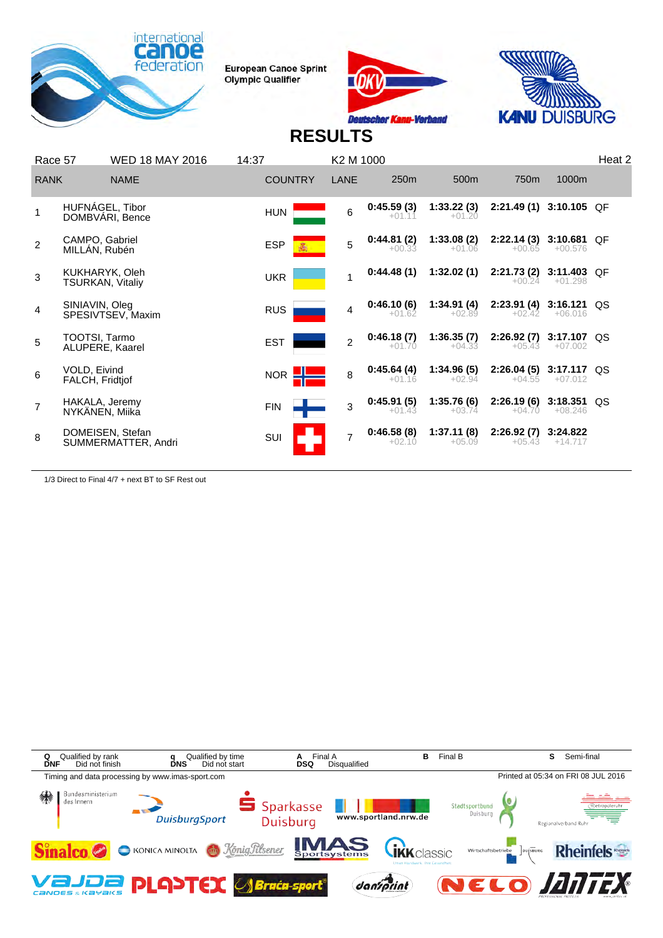





# **RESULTS**

| Race 57     |                                    | <b>WED 18 MAY 2016</b>                  | 14:37          | K2 M 1000      |                        |                        |                                      |                            | Heat 2 |
|-------------|------------------------------------|-----------------------------------------|----------------|----------------|------------------------|------------------------|--------------------------------------|----------------------------|--------|
| <b>RANK</b> |                                    | <b>NAME</b>                             | <b>COUNTRY</b> | LANE           | 250 <sub>m</sub>       | 500 <sub>m</sub>       | 750m                                 | 1000m                      |        |
|             |                                    | HUFNÁGEL, Tibor<br>DOMBVARI, Bence      | <b>HUN</b>     | 6              | 0:45.59(3)<br>$+01.11$ | 1:33.22(3)<br>$+01.20$ | 2:21.49(1)                           | $3:10.105$ QF              |        |
| 2           | CAMPO, Gabriel<br>MILLÁN, Rubén    |                                         | <b>ESP</b>     | 5              | 0:44.81(2)<br>$+00.33$ | 1:33.08(2)<br>$+01.06$ | 2:22.14(3)<br>$+00.65$               | 3:10.681 OF<br>$+00.576$   |        |
| 3           | KUKHARYK, Oleh<br>TSURKAN, Vitaliy |                                         | <b>UKR</b>     |                | 0:44.48(1)             | 1:32.02(1)             | 2:21.73 (2)<br>$+00.24$              | 3:11.403 QF<br>$+01.298$   |        |
| 4           | SINIAVIN, Oleg                     | SPESIVTSEV, Maxim                       | <b>RUS</b>     | 4              | 0:46.10(6)<br>$+01.62$ | 1:34.91(4)<br>$+02.89$ | $2:23.91(4)$ 3:16.121 QS<br>$+02.42$ | $+06.016$                  |        |
| 5           | TOOTSI, Tarmo<br>ALUPERE, Kaarel   |                                         | <b>EST</b>     | $\overline{2}$ | 0:46.18(7)<br>$+01.70$ | 1:36.35(7)<br>$+04.33$ | 2:26.92(7)<br>$+05.43$               | 3:17.107 QS<br>$+07.002$   |        |
| 6           | VOLD, Eivind<br>FALCH, Fridtjof    |                                         | <b>NOR</b>     | 8              | 0:45.64(4)<br>$+01.16$ | 1:34.96(5)<br>$+02.94$ | 2:26.04(5)<br>$+04.55$               | 3:17.117 QS<br>$+07.012$   |        |
| 7           | HAKALA, Jeremy<br>NYKANEN, Miika   |                                         | <b>FIN</b>     | 3              | 0:45.91(5)<br>$+01.43$ | 1:35.76(6)<br>$+03.74$ | 2:26.19(6)<br>$+04.70$               | $3:18.351$ QS<br>$+08.246$ |        |
| 8           |                                    | DOMEISEN, Stefan<br>SUMMERMATTER, Andri | SUI            | $\overline{7}$ | 0:46.58(8)<br>$+02.10$ | 1:37.11(8)<br>$+05.09$ | 2:26.92(7)<br>$+05.43$               | 3:24.822<br>$+14.717$      |        |
|             |                                    |                                         |                |                |                        |                        |                                      |                            |        |

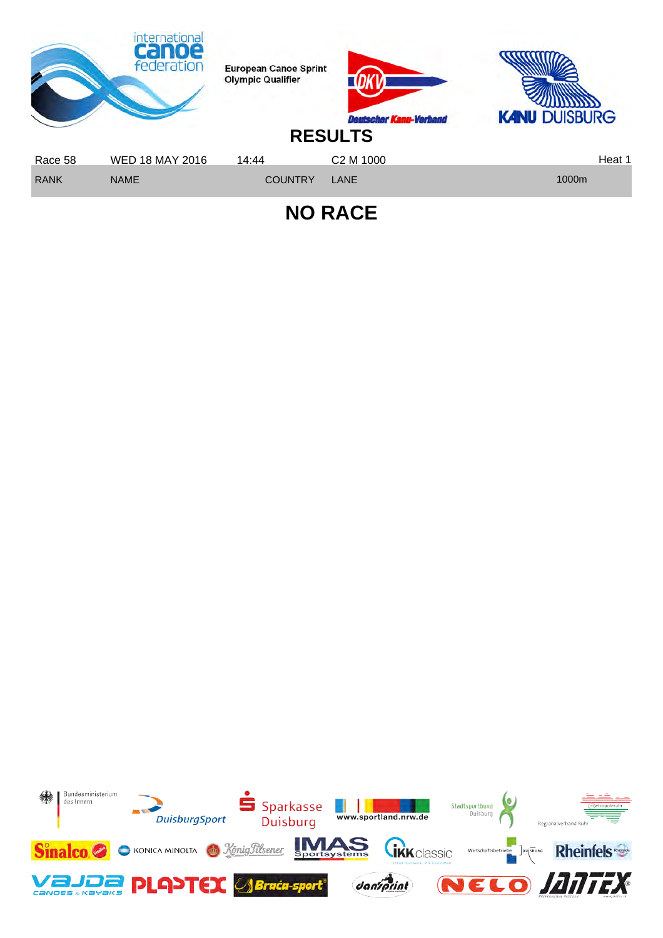

**NO RACE**

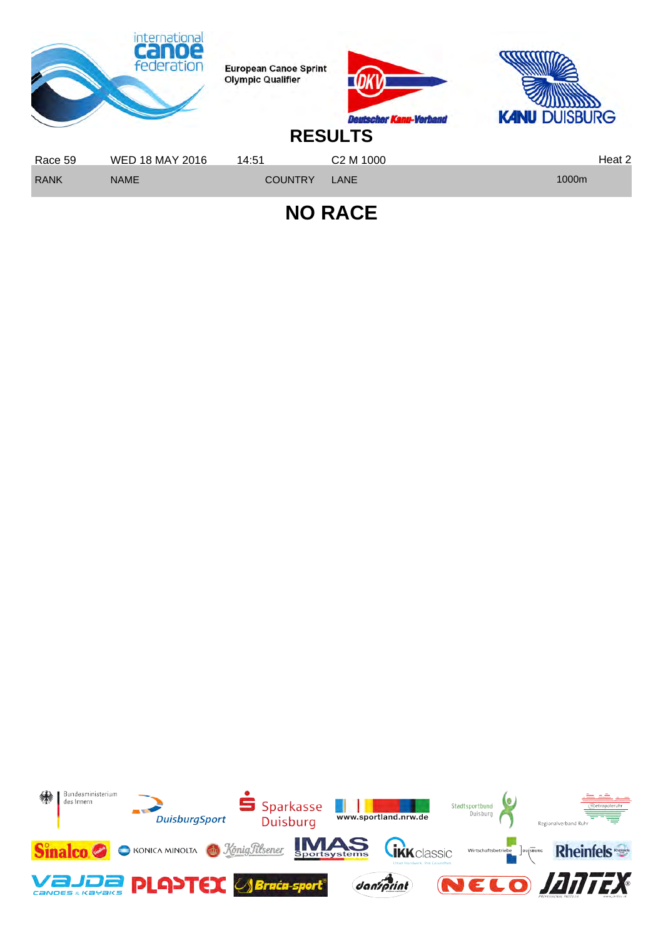

**NO RACE**

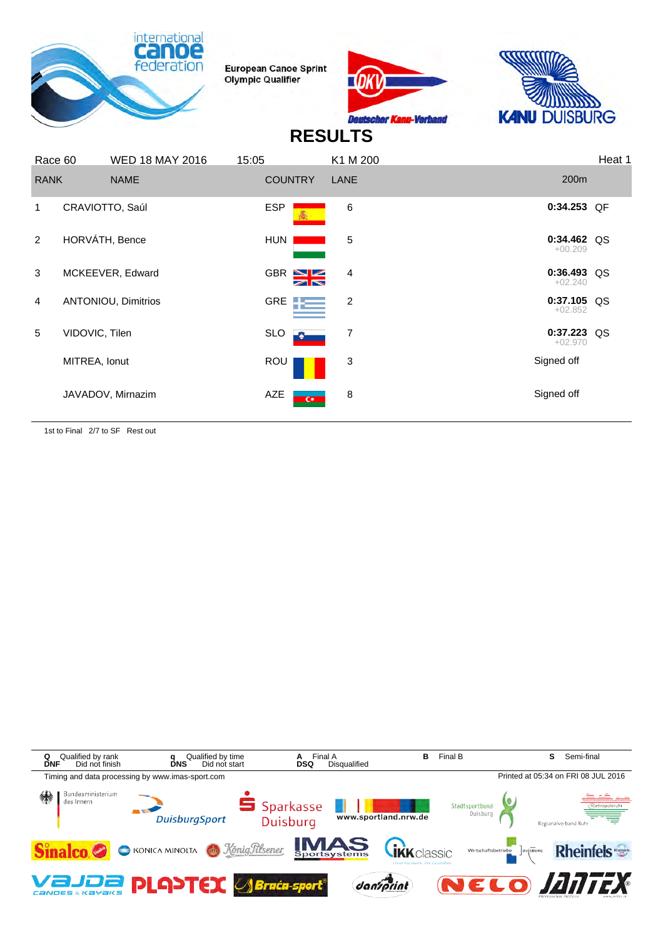





## **RESULTS**

| Race 60        |                 | <b>WED 18 MAY 2016</b>     | 15:05          |                         | K1 M 200 |                            | Heat 1 |
|----------------|-----------------|----------------------------|----------------|-------------------------|----------|----------------------------|--------|
| <b>RANK</b>    |                 | <b>NAME</b>                | <b>COUNTRY</b> |                         | LANE     | 200m                       |        |
| 1              | CRAVIOTTO, Saúl |                            | <b>ESP</b>     |                         | 6        | 0:34.253 QF                |        |
| $\mathcal{P}$  | HORVÁTH, Bence  |                            | HUN            |                         | 5        | $0:34.462$ QS<br>$+00.209$ |        |
| 3              |                 | MCKEEVER, Edward           |                | GBR S                   | 4        | $0:36.493$ QS<br>$+02.240$ |        |
| $\overline{4}$ |                 | <b>ANTONIOU, Dimitrios</b> |                | GRE <b>Figure</b>       | 2        | $0:37.105$ QS<br>$+02.852$ |        |
| 5              | VIDOVIC, Tilen  |                            | <b>SLO</b>     |                         | 7        | $0:37.223$ QS<br>$+02.970$ |        |
|                | MITREA, Ionut   |                            | ROU            |                         | 3        | Signed off                 |        |
|                |                 | JAVADOV, Mirnazim          | AZE            | $\overline{\mathbf{G}}$ | 8        | Signed off                 |        |

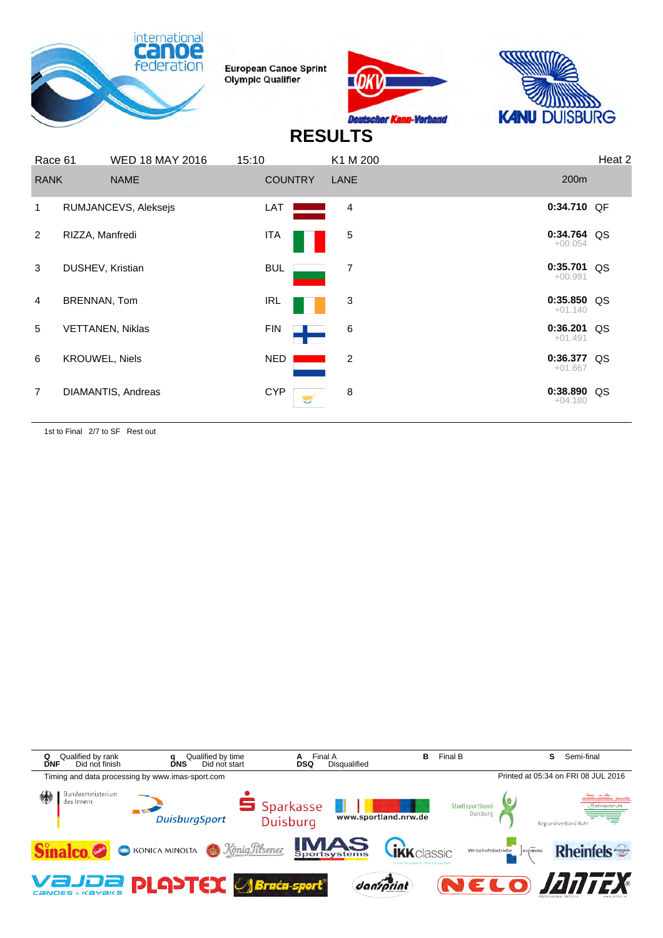





#### **RESULTS**

| Race 61        |                       | <b>WED 18 MAY 2016</b>  | 15:10 |                | K1 M 200       |                            | Heat 2 |
|----------------|-----------------------|-------------------------|-------|----------------|----------------|----------------------------|--------|
| <b>RANK</b>    |                       | <b>NAME</b>             |       | <b>COUNTRY</b> | LANE           | 200 <sub>m</sub>           |        |
| 1              |                       | RUMJANCEVS, Aleksejs    |       | LAT            | 4              | 0:34.710 QF                |        |
| $\overline{2}$ | RIZZA, Manfredi       |                         |       | ITA            | 5              | 0:34.764 QS<br>$+00.054$   |        |
| 3              | DUSHEV, Kristian      |                         |       | <b>BUL</b>     | 7              | $0:35.701$ QS<br>$+00.991$ |        |
| $\overline{4}$ | BRENNAN, Tom          |                         |       | IRL            | 3              | $0:35.850$ QS<br>$+01.140$ |        |
| 5              |                       | <b>VETTANEN, Niklas</b> |       | <b>FIN</b>     | 6              | $0:36.201$ QS<br>$+01.491$ |        |
| 6              | <b>KROUWEL, Niels</b> |                         |       | NED            | $\overline{2}$ | $0:36.377$ QS<br>$+01.667$ |        |
| $\overline{7}$ |                       | DIAMANTIS, Andreas      |       | <b>CYP</b>     | 8              | 0:38.890 QS<br>$+04.180$   |        |

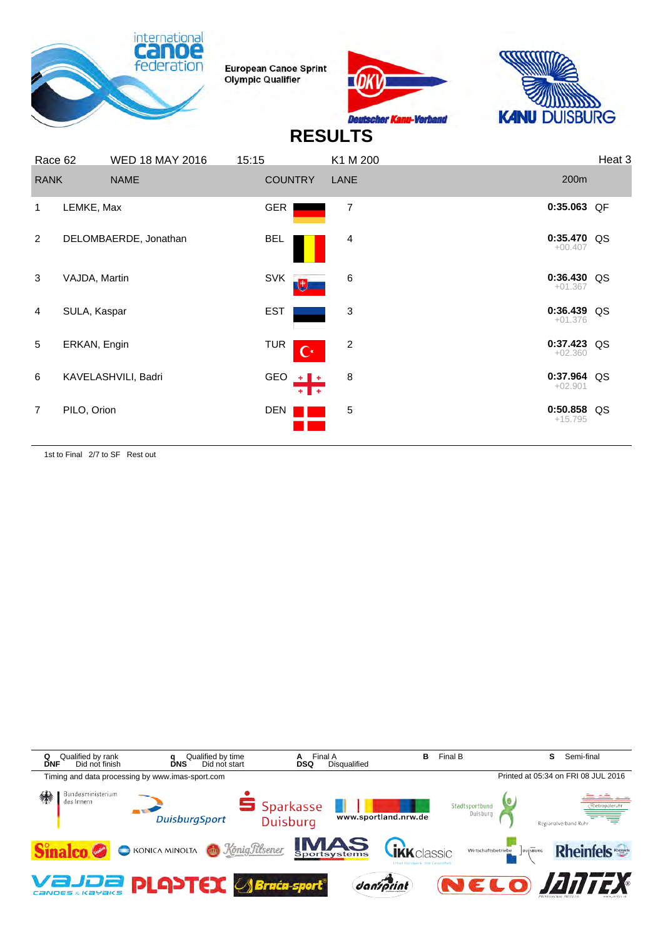





## **RESULTS**

| Race 62        |               | <b>WED 18 MAY 2016</b> | 15:15 |                              | K1 M 200       |                            | Heat 3 |
|----------------|---------------|------------------------|-------|------------------------------|----------------|----------------------------|--------|
| <b>RANK</b>    |               | <b>NAME</b>            |       | <b>COUNTRY</b>               | LANE           | 200m                       |        |
| 1              | LEMKE, Max    |                        |       | <b>GER</b>                   | $\overline{7}$ | 0:35.063 QF                |        |
| 2              |               | DELOMBAERDE, Jonathan  |       | <b>BEL</b>                   | 4              | 0:35.470 QS<br>$+00.407$   |        |
| 3              | VAJDA, Martin |                        |       | <b>SVK</b><br>电              | 6              | $0:36.430$ QS<br>$+01.367$ |        |
| 4              | SULA, Kaspar  |                        |       | <b>EST</b>                   | 3              | 0:36.439 QS<br>$+01.376$   |        |
| 5              | ERKAN, Engin  |                        |       | <b>TUR</b><br>$\overline{C}$ | 2              | $0:37.423$ QS<br>$+02.360$ |        |
| 6              |               | KAVELASHVILI, Badri    |       | GEO $+$ $+$<br>$+1$<br>. .   | 8              | 0:37.964 QS<br>$+02.901$   |        |
| $\overline{7}$ | PILO, Orion   |                        |       | DEN                          | 5              | $0:50.858$ QS<br>$+15.795$ |        |

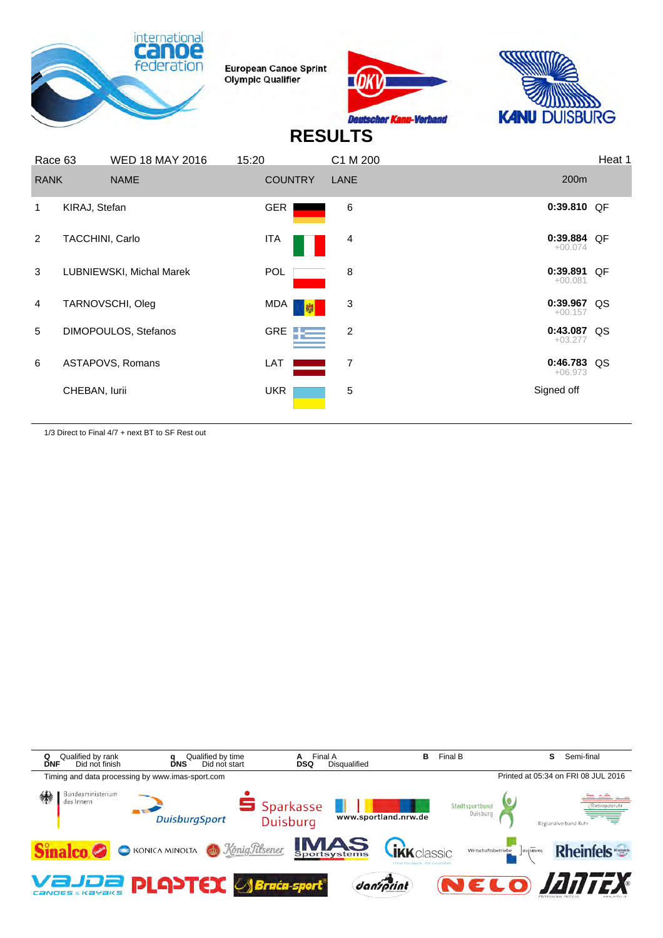





# **RESULTS**

| Race 63        |                 | <b>WED 18 MAY 2016</b>   | 15:20             | C1 M 200       |                            | Heat 1 |
|----------------|-----------------|--------------------------|-------------------|----------------|----------------------------|--------|
| <b>RANK</b>    |                 | <b>NAME</b>              | <b>COUNTRY</b>    | <b>LANE</b>    | 200 <sub>m</sub>           |        |
| 1.             | KIRAJ, Stefan   |                          | GER               | 6              | 0:39.810 QF                |        |
| $\overline{2}$ | TACCHINI, Carlo |                          | ITA               | 4              | 0:39.884 QF<br>$+00.074$   |        |
| 3              |                 | LUBNIEWSKI, Michal Marek | <b>POL</b>        | 8              | 0:39.891 QF<br>$+00.081$   |        |
| 4              |                 | TARNOVSCHI, Oleg         | MDA  <br>퉶        | 3              | $0:39.967$ QS<br>$+00.157$ |        |
| 5              |                 | DIMOPOULOS, Stefanos     | GRE $\frac{1}{2}$ | $\overline{2}$ | 0:43.087 QS<br>$+03.277$   |        |
| 6              |                 | ASTAPOVS, Romans         | LAT               | 7              | $0:46.783$ QS<br>$+06.973$ |        |
|                | CHEBAN, lurii   |                          | <b>UKR</b>        | 5              | Signed off                 |        |
|                |                 |                          |                   |                |                            |        |

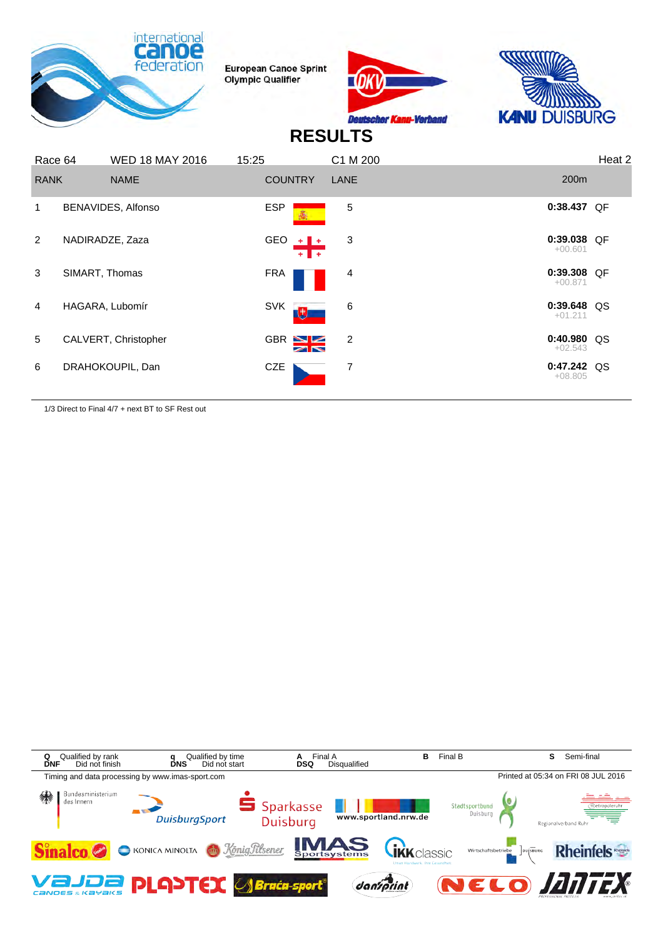





## **RESULTS**

| Race 64        |                 | <b>WED 18 MAY 2016</b> | 15:25           | C1 M 200   |                            | Heat 2 |
|----------------|-----------------|------------------------|-----------------|------------|----------------------------|--------|
| <b>RANK</b>    |                 | <b>NAME</b>            | <b>COUNTRY</b>  | LANE       | 200 <sub>m</sub>           |        |
| 1              |                 | BENAVIDES, Alfonso     | <b>ESP</b>      | $\sqrt{5}$ | 0:38.437 QF                |        |
| $\overline{2}$ | NADIRADZE, Zaza |                        | GEO $+$ $+$     | 3          | 0:39.038 QF<br>$+00.601$   |        |
| 3              | SIMART, Thomas  |                        | <b>FRA</b>      | 4          | 0:39.308 QF<br>$+00.871$   |        |
| $\overline{4}$ | HAGARA, Lubomír |                        | <b>SVK</b><br>电 | 6          | 0:39.648 QS<br>$+01.211$   |        |
| 5              |                 | CALVERT, Christopher   | GBR N           | 2          | $0:40.980$ QS<br>$+02.543$ |        |
| 6              |                 | DRAHOKOUPIL, Dan       | CZE             | 7          | $0:47.242$ QS<br>$+08.805$ |        |
|                |                 |                        |                 |            |                            |        |

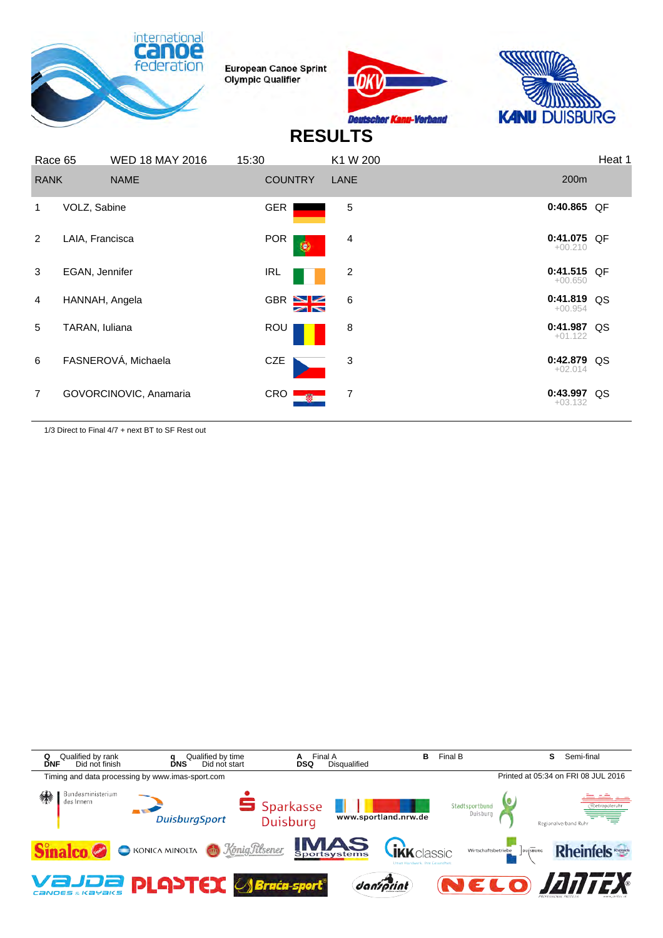





# **RESULTS**

| Race 65        |                 | <b>WED 18 MAY 2016</b> | 15:30          | K1 W 200      |                            | Heat 1 |
|----------------|-----------------|------------------------|----------------|---------------|----------------------------|--------|
| <b>RANK</b>    |                 | <b>NAME</b>            | <b>COUNTRY</b> | LANE          | 200m                       |        |
| 1              | VOLZ, Sabine    |                        | <b>GER</b>     | 5             | $0:40.865$ QF              |        |
| 2              | LAIA, Francisca |                        | <b>POR</b>     | 4<br>۱        | $0:41.075$ QF<br>$+00.210$ |        |
| 3              | EGAN, Jennifer  |                        | <b>IRL</b>     | 2             | 0:41.515 QF<br>$+00.650$   |        |
| 4              | HANNAH, Angela  |                        | GBR S          | 6             | 0:41.819 QS<br>$+00.954$   |        |
| 5              | TARAN, Iuliana  |                        | <b>ROU</b>     | 8             | 0:41.987 QS<br>$+01.122$   |        |
| 6              |                 | FASNEROVÁ, Michaela    | CZE            | 3             | 0:42.879 QS<br>$+02.014$   |        |
| $\overline{7}$ |                 | GOVORCINOVIC, Anamaria | CRO            | 7<br>$\alpha$ | 0:43.997 QS<br>$+03.132$   |        |

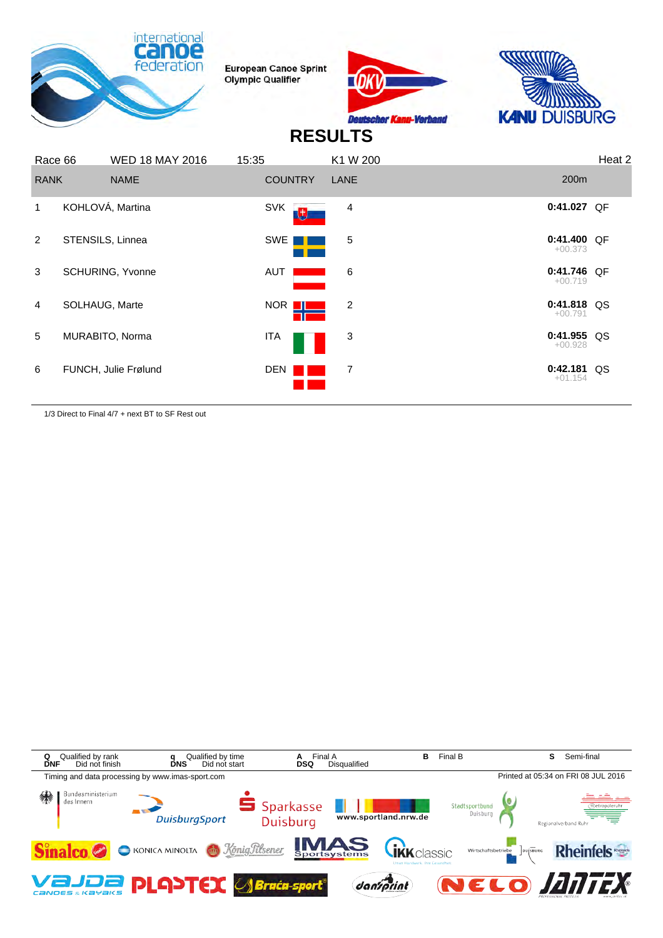





## **RESULTS**

| 200 <sub>m</sub><br><b>RANK</b><br><b>NAME</b><br><b>COUNTRY</b><br>LANE<br>KOHLOVÁ, Martina<br>0:41.027 QF<br><b>SVK</b><br>4<br>1.<br><b>U.</b><br>$0:41.400$ OF<br>2<br>SWE<br>5<br>STENSILS, Linnea<br>$+00.373$<br>0:41.746 QF<br>6<br>3<br><b>SCHURING, Yvonne</b><br>AUT<br>$+00.719$<br>$0:41.818$ QS<br>SOLHAUG, Marte<br>NOR <b>II</b><br>2<br>$\overline{4}$<br>$+00.791$<br>$0:41.955$ QS<br>5<br>3<br>MURABITO, Norma<br>ITA<br>$+00.928$<br>$0:42.181$ QS<br>7<br>6<br>FUNCH, Julie Frølund<br><b>DEN</b><br>$+01.154$ | Race 66 | <b>WED 18 MAY 2016</b> | 15:35 | K1 W 200 | Heat 2 |
|--------------------------------------------------------------------------------------------------------------------------------------------------------------------------------------------------------------------------------------------------------------------------------------------------------------------------------------------------------------------------------------------------------------------------------------------------------------------------------------------------------------------------------------|---------|------------------------|-------|----------|--------|
|                                                                                                                                                                                                                                                                                                                                                                                                                                                                                                                                      |         |                        |       |          |        |
|                                                                                                                                                                                                                                                                                                                                                                                                                                                                                                                                      |         |                        |       |          |        |
|                                                                                                                                                                                                                                                                                                                                                                                                                                                                                                                                      |         |                        |       |          |        |
|                                                                                                                                                                                                                                                                                                                                                                                                                                                                                                                                      |         |                        |       |          |        |
|                                                                                                                                                                                                                                                                                                                                                                                                                                                                                                                                      |         |                        |       |          |        |
|                                                                                                                                                                                                                                                                                                                                                                                                                                                                                                                                      |         |                        |       |          |        |
|                                                                                                                                                                                                                                                                                                                                                                                                                                                                                                                                      |         |                        |       |          |        |

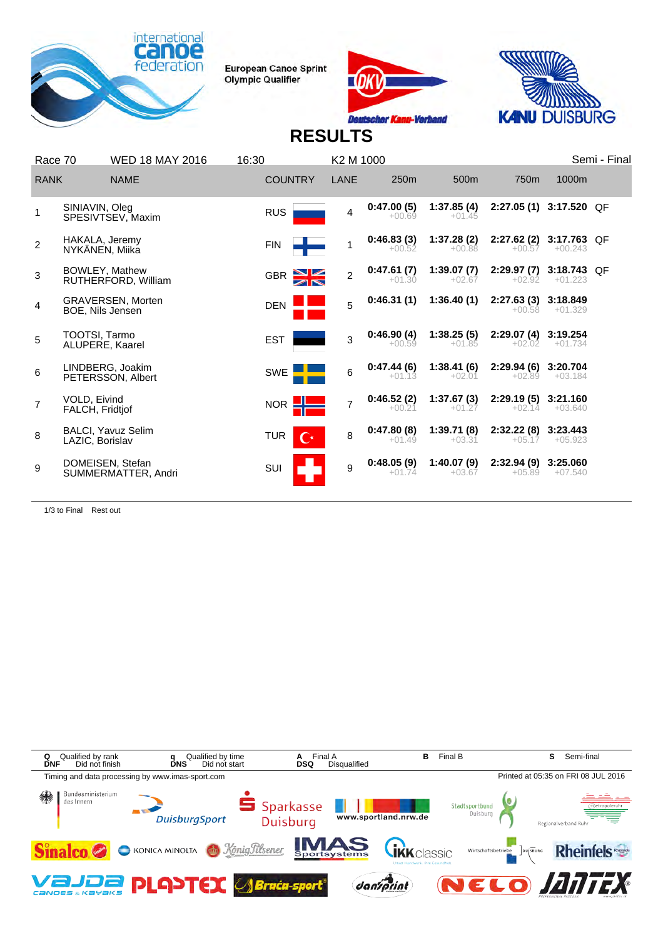





# **RESULTS**

| Race 70        |                                  | <b>WED 18 MAY 2016</b>                  | 16:30      |                | K2 M 1000      |                        |                        |                                     |                          | Semi - Final |
|----------------|----------------------------------|-----------------------------------------|------------|----------------|----------------|------------------------|------------------------|-------------------------------------|--------------------------|--------------|
| <b>RANK</b>    |                                  | <b>NAME</b>                             |            | <b>COUNTRY</b> | LANE           | 250m                   | 500m                   | 750 <sub>m</sub>                    | 1000m                    |              |
|                | SINIAVIN, Oleg                   | SPESIVTSEV, Maxim                       | <b>RUS</b> |                | 4              | 0:47.00(5)<br>$+00.69$ | 1:37.85(4)<br>$+01.45$ | 2:27.05 (1) 3:17.520 QF             |                          |              |
| $\overline{2}$ | HAKALA, Jeremy<br>NYKÄNEN, Miika |                                         | <b>FIN</b> |                |                | 0:46.83(3)<br>$+00.52$ | 1:37.28(2)<br>$+00.88$ | 2:27.62 (2) 3:17.763 QF<br>$+00.57$ | $+00.243$                |              |
| 3              |                                  | BOWLEY, Mathew<br>RUTHERFORD, William   | <b>GBR</b> |                | $\overline{2}$ | 0:47.61(7)<br>$+01.30$ | 1:39.07(7)<br>$+02.67$ | 2:29.97(7)<br>$+02.92$              | 3:18.743 QF<br>$+01.223$ |              |
| 4              | BOE, Nils Jensen                 | <b>GRAVERSEN, Morten</b>                | <b>DEN</b> |                | 5              | 0:46.31(1)             | 1:36.40(1)             | 2:27.63(3)<br>$+00.58$              | 3:18.849<br>$+01.329$    |              |
| 5              | TOOTSI, Tarmo<br>ALUPERE, Kaarel |                                         | <b>EST</b> |                | 3              | 0:46.90(4)<br>$+00.59$ | 1:38.25(5)<br>$+01.85$ | 2:29.07(4)<br>$+02.02$              | 3:19.254<br>$+01.734$    |              |
| 6              |                                  | LINDBERG, Joakim<br>PETERSSON, Albert   | SWE        |                | 6              | 0:47.44(6)<br>$+01.13$ | 1:38.41(6)<br>$+02.01$ | 2:29.94(6)<br>$+02.89$              | 3:20.704<br>$+03.184$    |              |
| $\overline{7}$ | VOLD, Eivind<br>FALCH, Fridtjof  |                                         | <b>NOR</b> |                |                | 0:46.52(2)<br>$+00.21$ | 1:37.67(3)<br>$+01.27$ | 2:29.19(5)<br>$+02.14$              | 3:21.160<br>$+03.640$    |              |
| 8              | LAZIC, Borislav                  | <b>BALCI, Yavuz Selim</b>               | TUR        | $\mathbf{C}^*$ | 8              | 0:47.80(8)<br>$+01.49$ | 1:39.71(8)<br>$+03.31$ | 2:32.22(8)<br>$+05.17$              | 3:23.443<br>$+05.923$    |              |
| 9              |                                  | DOMEISEN, Stefan<br>SUMMERMATTER, Andri | SUI        |                | 9              | 0:48.05(9)<br>$+01.74$ | 1:40.07(9)<br>$+03.67$ | 2:32.94 (9) 3:25.060<br>$+05.89$    | $+07.540$                |              |
|                |                                  |                                         |            |                |                |                        |                        |                                     |                          |              |

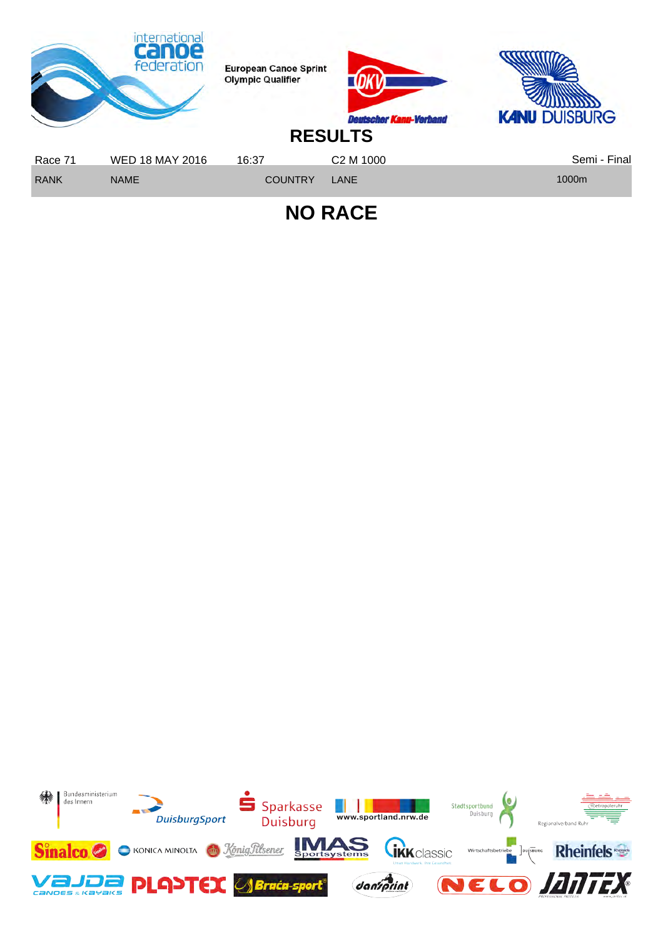

**NO RACE**

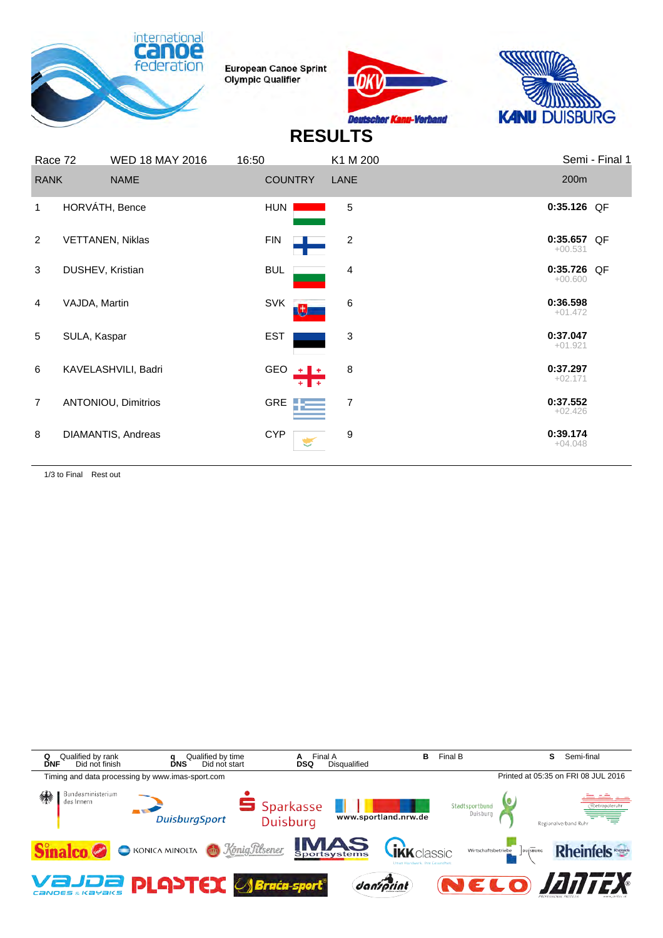





## **RESULTS**

| Race 72        |                  | <b>WED 18 MAY 2016</b>  | 16:50      |                | K1 M 200                |                          | Semi - Final 1 |
|----------------|------------------|-------------------------|------------|----------------|-------------------------|--------------------------|----------------|
| <b>RANK</b>    |                  | <b>NAME</b>             |            | <b>COUNTRY</b> | LANE                    | 200m                     |                |
| $\mathbf{1}$   | HORVÁTH, Bence   |                         | HUN        |                | 5                       | 0:35.126 QF              |                |
| 2              |                  | <b>VETTANEN, Niklas</b> | <b>FIN</b> |                | $\overline{\mathbf{c}}$ | 0:35.657 QF<br>$+00.531$ |                |
| 3              | DUSHEV, Kristian |                         | <b>BUL</b> |                | 4                       | 0:35.726 QF<br>$+00.600$ |                |
| $\overline{4}$ | VAJDA, Martin    |                         | <b>SVK</b> | 力              | 6                       | 0:36.598<br>$+01.472$    |                |
| 5              | SULA, Kaspar     |                         | <b>EST</b> |                | 3                       | 0:37.047<br>$+01.921$    |                |
| 6              |                  | KAVELASHVILI, Badri     |            | GEO $+$ $+$    | 8                       | 0:37.297<br>$+02.171$    |                |
| $\overline{7}$ |                  | ANTONIOU, Dimitrios     |            | GRE <b>TE</b>  | 7                       | 0:37.552<br>$+02.426$    |                |
| 8              |                  | DIAMANTIS, Andreas      | <b>CYP</b> |                | 9                       | 0:39.174<br>$+04.048$    |                |

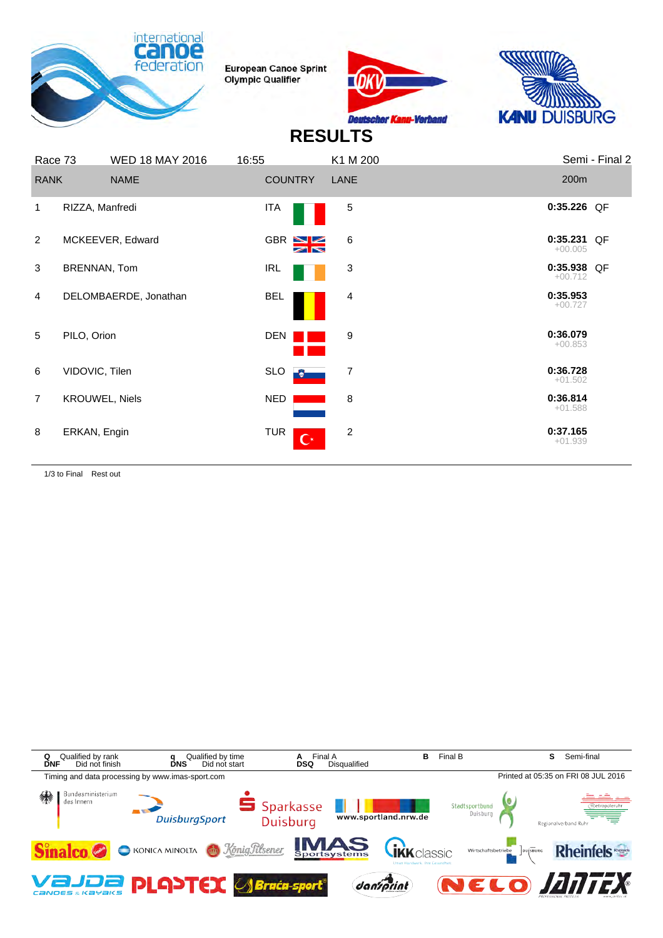





## **RESULTS**

| Race 73        | <b>WED 18 MAY 2016</b> | 16:55          | K1 M 200                                  | Semi - Final 2           |  |
|----------------|------------------------|----------------|-------------------------------------------|--------------------------|--|
| <b>RANK</b>    | <b>NAME</b>            | <b>COUNTRY</b> | LANE                                      | 200m                     |  |
| 1              | RIZZA, Manfredi        | <b>ITA</b>     | 5                                         | 0:35.226 QF              |  |
| 2              | MCKEEVER, Edward       | GBR SE         | 6                                         | 0:35.231 QF<br>$+00.005$ |  |
| 3              | BRENNAN, Tom           | <b>IRL</b>     | 3                                         | 0:35.938 QF<br>$+00.712$ |  |
| 4              | DELOMBAERDE, Jonathan  | <b>BEL</b>     | 4                                         | 0:35.953<br>$+00.727$    |  |
| 5              | PILO, Orion            | DEN            | 9                                         | 0:36.079<br>$+00.853$    |  |
| 6              | VIDOVIC, Tilen         | <b>SLO</b>     | $\overline{7}$<br>$\bullet$               | 0:36.728<br>$+01.502$    |  |
| $\overline{7}$ | <b>KROUWEL, Niels</b>  | NED            | 8                                         | 0:36.814<br>$+01.588$    |  |
| 8              | ERKAN, Engin           | <b>TUR</b>     | $\overline{2}$<br>$\overline{\mathbf{C}}$ | 0:37.165<br>$+01.939$    |  |

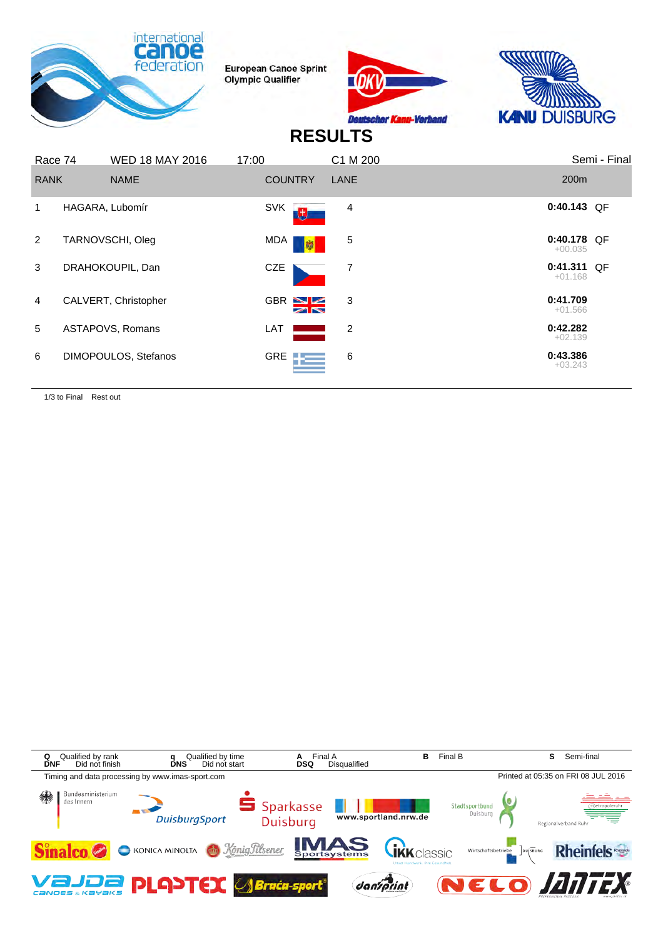





## **RESULTS**

| Race 74        | <b>WED 18 MAY 2016</b> | 17:00 |                | C1 M 200 |                          | Semi - Final |
|----------------|------------------------|-------|----------------|----------|--------------------------|--------------|
| <b>RANK</b>    | <b>NAME</b>            |       | <b>COUNTRY</b> | LANE     | 200 <sub>m</sub>         |              |
|                | HAGARA, Lubomír        |       | <b>SVK</b>     | 4        | $0:40.143$ QF            |              |
| 2              | TARNOVSCHI, Oleg       |       | MDA<br>- 嚇     | 5        | 0:40.178 QF<br>$+00.035$ |              |
| 3              | DRAHOKOUPIL, Dan       |       | CZE            | 7        | 0:41.311 QF<br>$+01.168$ |              |
| $\overline{4}$ | CALVERT, Christopher   |       | GBR N          | 3        | 0:41.709<br>$+01.566$    |              |
| 5              | ASTAPOVS, Romans       | LAT   |                | 2        | 0:42.282<br>$+02.139$    |              |
| 6              | DIMOPOULOS, Stefanos   |       | GRE <b>TE</b>  | 6        | 0:43.386<br>$+03.243$    |              |

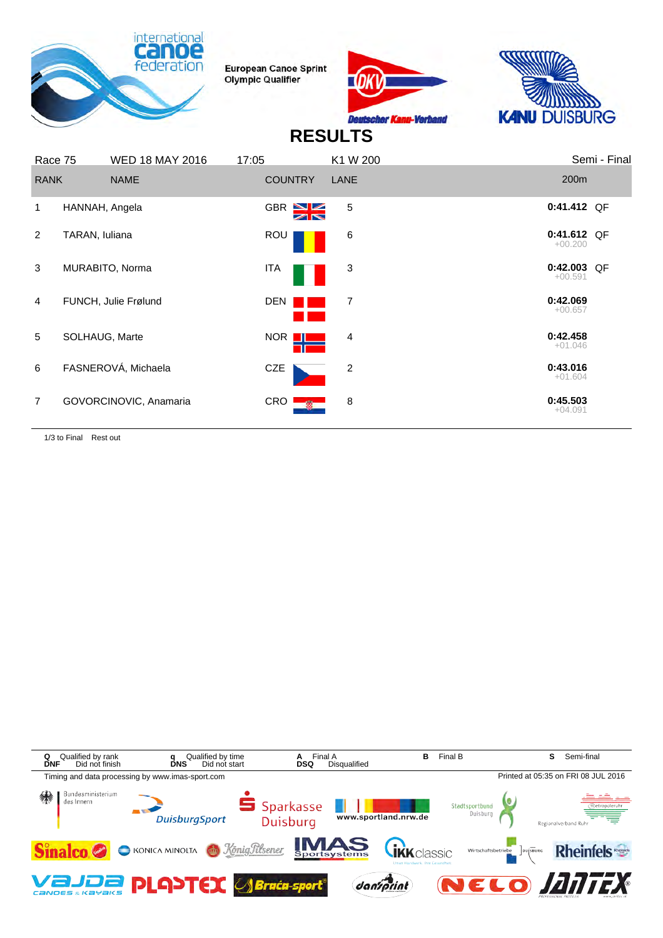





## **RESULTS**

|                | Race 75        | <b>WED 18 MAY 2016</b> | 17:05                          | K1 W 200 | Semi - Final             |
|----------------|----------------|------------------------|--------------------------------|----------|--------------------------|
|                | <b>RANK</b>    | <b>NAME</b>            | <b>COUNTRY</b>                 | LANE     | 200 <sub>m</sub>         |
| 1              | HANNAH, Angela |                        | $GBR \geq 2$<br>$\blacksquare$ | 5        | 0:41.412 QF              |
| $\overline{2}$ | TARAN, Iuliana |                        | <b>ROU</b>                     | 6        | 0:41.612 QF<br>$+00.200$ |
| 3              |                | MURABITO, Norma        | ITA                            | 3        | 0:42.003 QF<br>$+00.591$ |
| $\overline{4}$ |                | FUNCH, Julie Frølund   | <b>DEN</b>                     | 7        | 0:42.069<br>$+00.657$    |
| 5              |                | SOLHAUG, Marte         | NOR I                          | 4        | 0:42.458<br>$+01.046$    |
| 6              |                | FASNEROVÁ, Michaela    | <b>CZE</b>                     | 2        | 0:43.016<br>$+01.604$    |
| $\overline{7}$ |                | GOVORCINOVIC, Anamaria | CRO                            | 8        | 0:45.503<br>$+04.091$    |

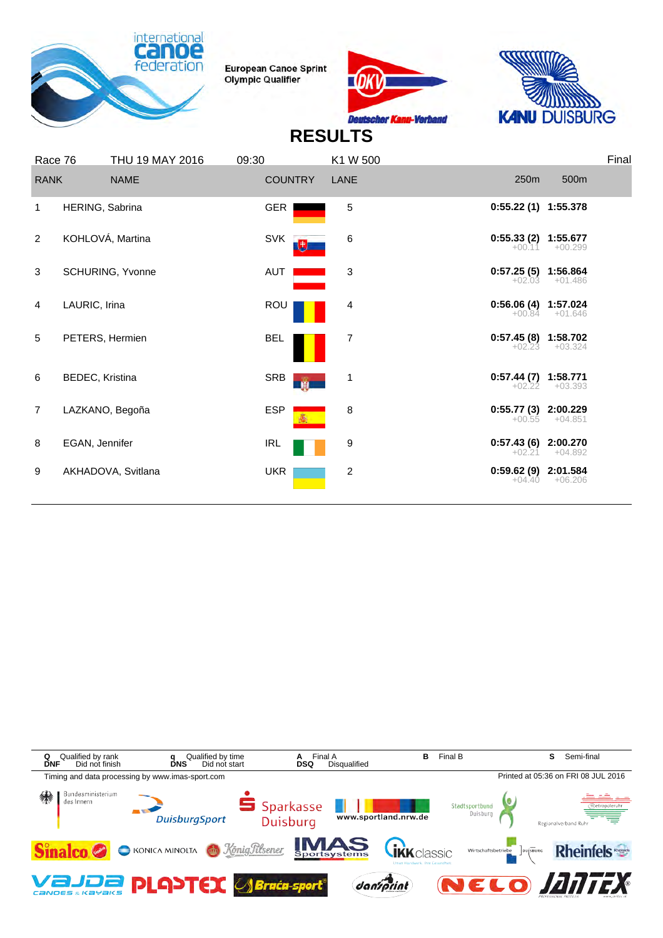





| Race 76        |                 | THU 19 MAY 2016    | 09:30           | K1 W 500       |                                   |           | Final |
|----------------|-----------------|--------------------|-----------------|----------------|-----------------------------------|-----------|-------|
| <b>RANK</b>    |                 | <b>NAME</b>        | <b>COUNTRY</b>  | LANE           | 250m                              | 500m      |       |
| 1              | HERING, Sabrina |                    | <b>GER</b>      | 5              | 0:55.22 (1) 1:55.378              |           |       |
| 2              |                 | KOHLOVÁ, Martina   | <b>SVK</b>      | 6              | $0:55.33(2)$ 1:55.677<br>$+00.11$ | $+00.299$ |       |
| 3              |                 | SCHURING, Yvonne   | AUT             | 3              | $0:57.25(5)$ 1:56.864<br>$+02.03$ | $+01.486$ |       |
| 4              | LAURIC, Irina   |                    | ROU             | 4              | 0:56.06 (4) 1:57.024<br>$+00.84$  | $+01.646$ |       |
| 5              |                 | PETERS, Hermien    | <b>BEL</b>      | 7              | 0:57.45 (8) 1:58.702<br>$+02.23$  | $+03.324$ |       |
| 6              | BEDEC, Kristina |                    | SRB<br><b>M</b> | 1              | 0:57.44 (7) 1:58.771<br>$+02.22$  | $+03.393$ |       |
| $\overline{7}$ |                 | LAZKANO, Begoña    | <b>ESP</b>      | 8              | 0:55.77 (3) 2:00.229<br>$+00.55$  | $+04.851$ |       |
| 8              | EGAN, Jennifer  |                    | <b>IRL</b>      | 9              | 0:57.43 (6) 2:00.270<br>$+02.21$  | $+04.892$ |       |
| 9              |                 | AKHADOVA, Svitlana | <b>UKR</b>      | $\overline{c}$ | 0:59.62 (9) 2:01.584<br>$+04.40$  | $+06.206$ |       |
|                |                 |                    |                 |                |                                   |           |       |

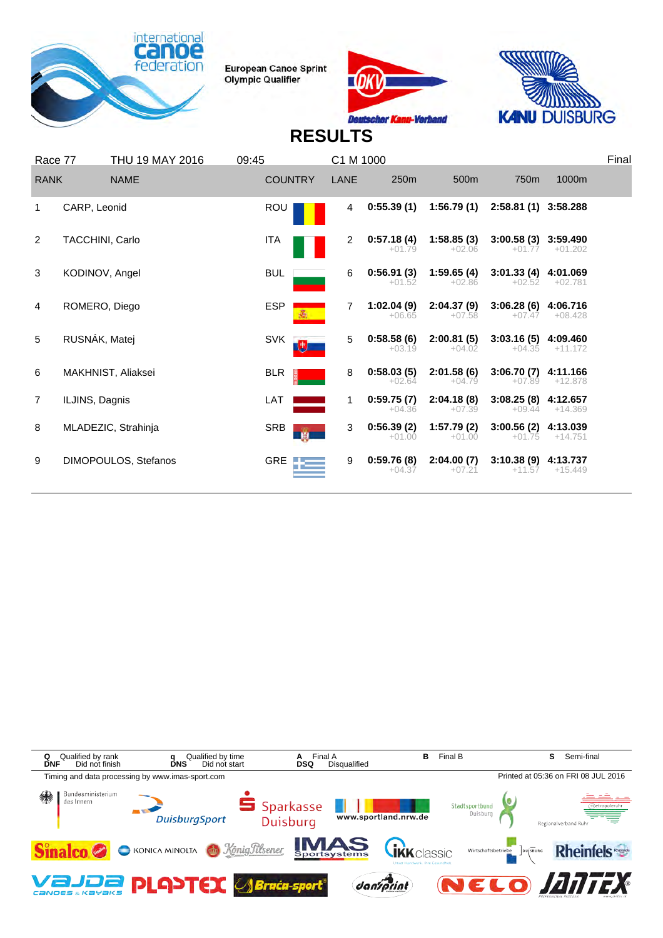





| 250m<br>500m<br>750m<br>1000m<br><b>COUNTRY</b><br><b>RANK</b><br><b>NAME</b><br>LANE<br>0:55.39(1)<br>1:56.79(1)<br>2:58.81 (1) 3:58.288<br><b>ROU</b><br>CARP, Leonid<br>4<br>1<br>1:58.85(3)<br>0:57.18(4)<br>3:00.58 (3) 3:59.490<br>TACCHINI, Carlo<br>$\overline{2}$<br><b>ITA</b><br>2<br>$+01.79$<br>$+02.06$<br>$+01.77$<br>$+01.202$<br>1:59.65(4)<br>0:56.91(3)<br>3:01.33(4)<br>3<br>KODINOV, Angel<br><b>BUL</b><br>4:01.069<br>6<br>$+01.52$<br>$+02.86$<br>$+02.52$<br>$+02.781$<br><b>ESP</b><br>2:04.37(9)<br>ROMERO, Diego<br>1:02.04(9)<br>3:06.28(6)<br>4:06.716<br>4<br>7<br>$+08.428$<br>$+06.65$<br>$+07.47$<br>$+07.58$<br>RUSNÁK, Matej<br><b>SVK</b><br>0:58.58(6)<br>2:00.81(5)<br>3:03.16(5)<br>5<br>4:09.460<br>5<br>电<br>$+04.02$<br>$+04.35$<br>$+11.172$<br>$+03.19$<br>0:58.03(5)<br>2:01.58(6)<br><b>BLR</b><br>3:06.70(7)<br>6<br>MAKHNIST, Aliaksei<br>8<br>4:11.166<br>ā<br>$+04.79$<br>$+02.64$<br>$+07.89$<br>$+12.878$<br>LAT<br>0:59.75(7)<br>2:04.18(8)<br>3:08.25(8)<br>ILJINS, Dagnis<br>4:12.657<br>$\overline{7}$<br>1.<br>$+09.44$<br>$+14.369$<br>$+04.36$<br>$+07.39$<br>0:56.39(2)<br>1:57.79(2)<br>3:00.56(2)<br>MLADEZIC, Strahinja<br><b>SRB</b><br>4:13.039<br>8<br>3<br><b>B</b><br>$+01.00$<br>$+01.00$<br>$+01.75$<br>$+14.751$<br>0:59.76(8)<br>2:04.00(7)<br>$3:10.38(9)$ 4:13.737<br>DIMOPOULOS, Stefanos<br>GRE<br>9<br>9<br>$+15.449$<br>$+04.37$<br>$+11.57$<br>$+07.21$ | Race 77 | THU 19 MAY 2016 | 09:45 | C1 M 1000 |  | Final |
|-----------------------------------------------------------------------------------------------------------------------------------------------------------------------------------------------------------------------------------------------------------------------------------------------------------------------------------------------------------------------------------------------------------------------------------------------------------------------------------------------------------------------------------------------------------------------------------------------------------------------------------------------------------------------------------------------------------------------------------------------------------------------------------------------------------------------------------------------------------------------------------------------------------------------------------------------------------------------------------------------------------------------------------------------------------------------------------------------------------------------------------------------------------------------------------------------------------------------------------------------------------------------------------------------------------------------------------------------------------------------------------------------------------------------------------------|---------|-----------------|-------|-----------|--|-------|
|                                                                                                                                                                                                                                                                                                                                                                                                                                                                                                                                                                                                                                                                                                                                                                                                                                                                                                                                                                                                                                                                                                                                                                                                                                                                                                                                                                                                                                         |         |                 |       |           |  |       |
|                                                                                                                                                                                                                                                                                                                                                                                                                                                                                                                                                                                                                                                                                                                                                                                                                                                                                                                                                                                                                                                                                                                                                                                                                                                                                                                                                                                                                                         |         |                 |       |           |  |       |
|                                                                                                                                                                                                                                                                                                                                                                                                                                                                                                                                                                                                                                                                                                                                                                                                                                                                                                                                                                                                                                                                                                                                                                                                                                                                                                                                                                                                                                         |         |                 |       |           |  |       |
|                                                                                                                                                                                                                                                                                                                                                                                                                                                                                                                                                                                                                                                                                                                                                                                                                                                                                                                                                                                                                                                                                                                                                                                                                                                                                                                                                                                                                                         |         |                 |       |           |  |       |
|                                                                                                                                                                                                                                                                                                                                                                                                                                                                                                                                                                                                                                                                                                                                                                                                                                                                                                                                                                                                                                                                                                                                                                                                                                                                                                                                                                                                                                         |         |                 |       |           |  |       |
|                                                                                                                                                                                                                                                                                                                                                                                                                                                                                                                                                                                                                                                                                                                                                                                                                                                                                                                                                                                                                                                                                                                                                                                                                                                                                                                                                                                                                                         |         |                 |       |           |  |       |
|                                                                                                                                                                                                                                                                                                                                                                                                                                                                                                                                                                                                                                                                                                                                                                                                                                                                                                                                                                                                                                                                                                                                                                                                                                                                                                                                                                                                                                         |         |                 |       |           |  |       |
|                                                                                                                                                                                                                                                                                                                                                                                                                                                                                                                                                                                                                                                                                                                                                                                                                                                                                                                                                                                                                                                                                                                                                                                                                                                                                                                                                                                                                                         |         |                 |       |           |  |       |
|                                                                                                                                                                                                                                                                                                                                                                                                                                                                                                                                                                                                                                                                                                                                                                                                                                                                                                                                                                                                                                                                                                                                                                                                                                                                                                                                                                                                                                         |         |                 |       |           |  |       |
|                                                                                                                                                                                                                                                                                                                                                                                                                                                                                                                                                                                                                                                                                                                                                                                                                                                                                                                                                                                                                                                                                                                                                                                                                                                                                                                                                                                                                                         |         |                 |       |           |  |       |

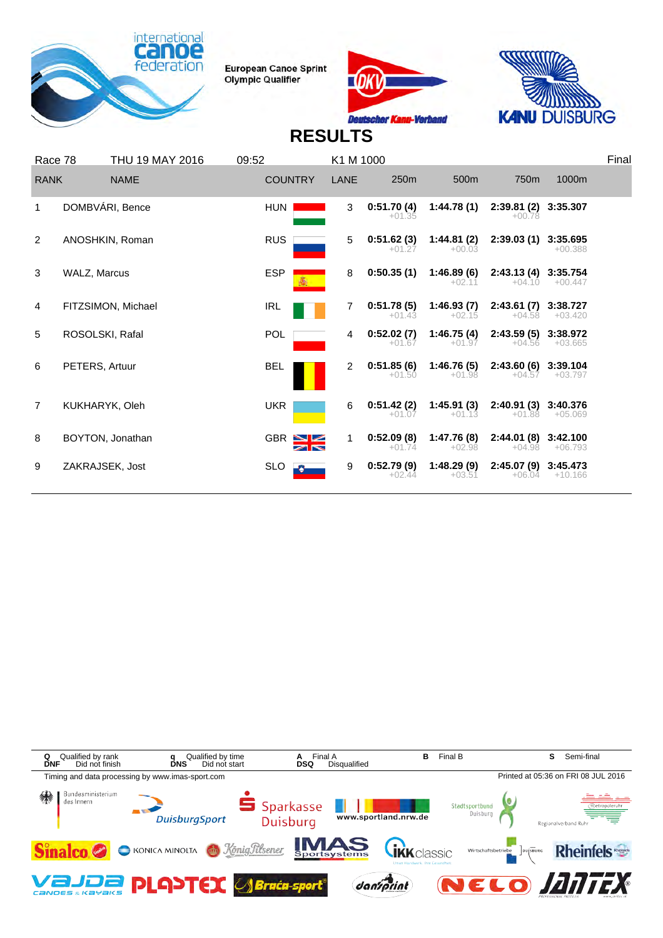





| Race 78        |                 | THU 19 MAY 2016    | 09:52           | K1 M 1000           |                        |                        |                                  |                       | Final |
|----------------|-----------------|--------------------|-----------------|---------------------|------------------------|------------------------|----------------------------------|-----------------------|-------|
| <b>RANK</b>    |                 | <b>NAME</b>        | <b>COUNTRY</b>  | LANE                | 250m                   | 500m                   | 750 <sub>m</sub>                 | 1000m                 |       |
|                |                 | DOMBVÁRI, Bence    | <b>HUN</b>      | 3                   | 0:51.70(4)<br>$+01.35$ | 1:44.78(1)             | 2:39.81 (2) 3:35.307<br>$+00.78$ |                       |       |
| 2              |                 | ANOSHKIN, Roman    | <b>RUS</b>      | 5                   | 0:51.62(3)<br>$+01.27$ | 1:44.81(2)<br>$+00.03$ | 2:39.03(1)                       | 3:35.695<br>$+00.388$ |       |
| 3              | WALZ, Marcus    |                    | <b>ESP</b>      | 8                   | 0:50.35(1)             | 1:46.89(6)<br>$+02.11$ | 2:43.13(4)<br>$+04.10$           | 3:35.754<br>$+00.447$ |       |
| 4              |                 | FITZSIMON, Michael | IRL             | 7                   | 0:51.78(5)<br>$+01.43$ | 1:46.93(7)<br>$+02.15$ | 2:43.61(7)<br>$+04.58$           | 3:38.727<br>$+03.420$ |       |
| 5              | ROSOLSKI, Rafal |                    | POL             | 4                   | 0:52.02(7)<br>$+01.67$ | 1:46.75(4)<br>$+01.97$ | 2:43.59(5)<br>$+04.56$           | 3:38.972<br>$+03.665$ |       |
| 6              | PETERS, Artuur  |                    | <b>BEL</b>      | 2                   | 0:51.85(6)<br>$+01.50$ | 1:46.76(5)<br>$+01.98$ | 2:43.60(6)<br>$+04.57$           | 3:39.104<br>$+03.797$ |       |
| $\overline{7}$ | KUKHARYK, Oleh  |                    | <b>UKR</b>      | 6                   | 0:51.42(2)<br>$+01.07$ | 1:45.91(3)<br>$+01.13$ | 2:40.91(3)<br>$+01.88$           | 3:40.376<br>$+05.069$ |       |
| 8              |                 | BOYTON, Jonathan   | GBR $\sum$      | 1<br>$\blacksquare$ | 0:52.09(8)<br>$+01.74$ | 1:47.76(8)<br>$+02.98$ | 2:44.01(8)<br>$+04.98$           | 3:42.100<br>$+06.793$ |       |
| 9              | ZAKRAJSEK, Jost |                    | <b>SLO</b><br>Ð | 9                   | 0:52.79(9)<br>$+02.44$ | 1:48.29(9)<br>$+03.51$ | 2:45.07(9)<br>$+06.04$           | 3:45.473<br>$+10.166$ |       |
|                |                 |                    |                 |                     |                        |                        |                                  |                       |       |

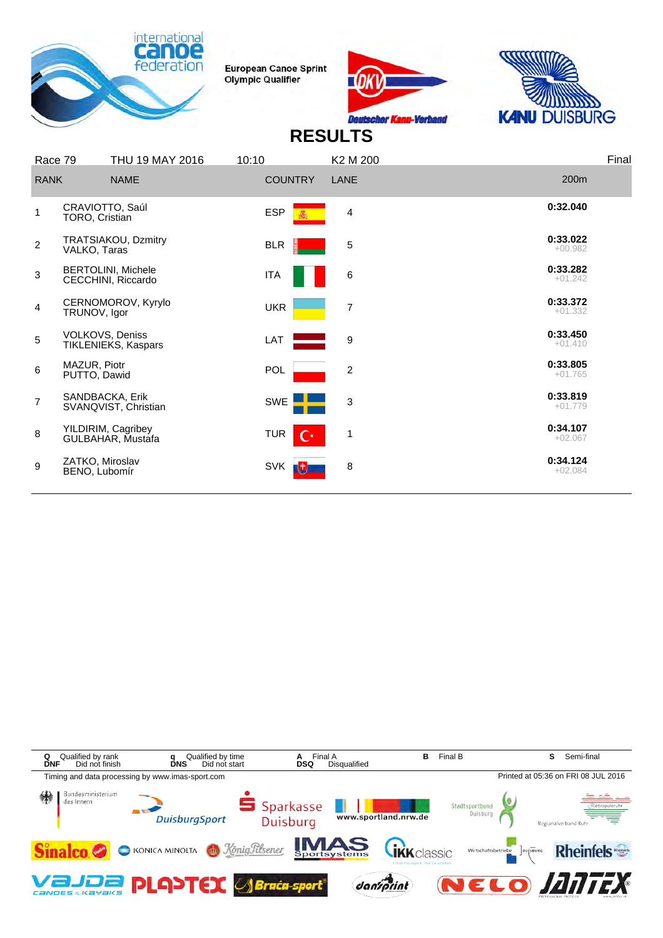





| Race 79        | THU 19 MAY 2016                                 | 10:10                        | K <sub>2</sub> M <sub>200</sub> | Final                 |
|----------------|-------------------------------------------------|------------------------------|---------------------------------|-----------------------|
| <b>RANK</b>    | <b>NAME</b>                                     | <b>COUNTRY</b>               | LANE                            | 200m                  |
| 1              | CRAVIOTTO, Saúl<br>TORO, Cristian               | <b>ESP</b>                   | 4                               | 0:32.040              |
| $\overline{2}$ | TRATSIAKOU, Dzmitry<br>VALKO, Taras             | <b>BLR</b>                   | $\sqrt{5}$                      | 0:33.022<br>$+00.982$ |
| 3              | <b>BERTOLINI, Michele</b><br>CECCHINI, Riccardo | ITA                          | 6                               | 0:33.282<br>$+01.242$ |
| $\overline{4}$ | CERNOMOROV, Kyrylo<br>TRUNOV, Igor              | <b>UKR</b>                   | $\overline{7}$                  | 0:33.372<br>$+01.332$ |
| 5              | <b>VOLKOVS, Deniss</b><br>TIKLENIEKS, Kaspars   | LAT                          | 9                               | 0:33.450<br>$+01.410$ |
| 6              | MAZUR, Piotr<br>PUTTO, Dawid                    | POL                          | $\overline{\mathbf{c}}$         | 0:33.805<br>$+01.765$ |
| $\overline{7}$ | SANDBACKA, Erik<br>SVANQVIST, Christian         | SWE                          | 3                               | 0:33.819<br>$+01.779$ |
| 8              | YILDIRIM, Cagribey<br>GULBAHAR, Mustafa         | <b>TUR</b><br>$\mathbf{C}^*$ | $\mathbf{1}$                    | 0:34.107<br>$+02.067$ |
| 9              | ZATKO, Miroslav<br>BENO, Lubomír                | <b>SVK</b><br>動              | 8                               | 0:34.124<br>$+02.084$ |
|                |                                                 |                              |                                 |                       |

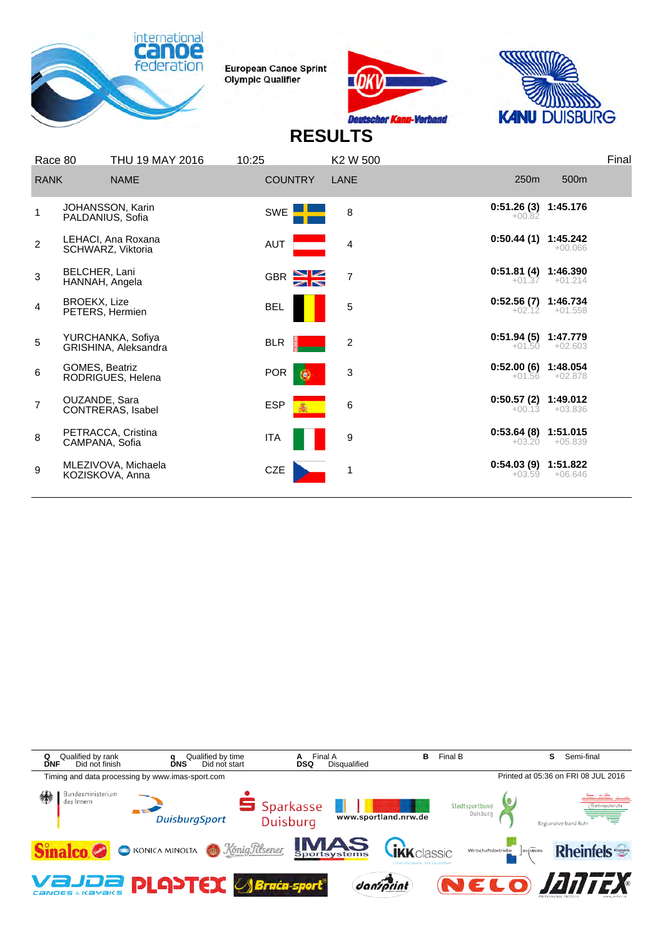





| Race 80        |                                 | THU 19 MAY 2016                           | 10:25          | K <sub>2</sub> W <sub>500</sub> |                                   |                       | Final |
|----------------|---------------------------------|-------------------------------------------|----------------|---------------------------------|-----------------------------------|-----------------------|-------|
| <b>RANK</b>    |                                 | <b>NAME</b>                               | <b>COUNTRY</b> | LANE                            | 250m                              | 500m                  |       |
| 1              |                                 | JOHANSSON, Karin<br>PALDANIUS, Sofia      | SWE            | 8                               | $0:51.26(3)$ 1:45.176<br>$+00.82$ |                       |       |
| $\overline{2}$ |                                 | LEHACI, Ana Roxana<br>SCHWARZ, Viktoria   | AUT            | 4                               | 0:50.44(1)                        | 1:45.242<br>$+00.066$ |       |
| 3              | BELCHER, Lani<br>HANNAH, Angela |                                           | GBR S          | $\overline{7}$                  | $0:51.81(4)$ 1:46.390             | $+01.37 +01.214$      |       |
| $\overline{4}$ | BROEKX, Lize<br>PETERS, Hermien |                                           | <b>BEL</b>     | 5                               | $0:52.56(7)$ 1:46.734<br>$+02.12$ | $+01.558$             |       |
| 5              |                                 | YURCHANKA, Sofiya<br>GRISHINA, Aleksandra | <b>BLR</b>     | $\overline{c}$                  | 0:51.94 (5) 1:47.779<br>$+01.50$  | $+02.603$             |       |
| 6              | GOMES, Beatriz                  | RODRIGUES, Helena                         | <b>POR</b>     | 3<br>$\left( 0, \right)$        | 0:52.00 (6) 1:48.054<br>$+01.56$  | $+02.878$             |       |
| $\overline{7}$ | OUZANDE, Sara                   | CONTRERAS, Isabel                         | <b>ESP</b>     | 6                               | $0:50.57(2)$ 1:49.012<br>$+00.13$ | $+03.836$             |       |
| 8              | CAMPANA, Sofia                  | PETRACCA, Cristina                        | <b>ITA</b>     | 9                               | $0:53.64(8)$ 1:51.015<br>$+03.20$ | $+05.839$             |       |
| 9              |                                 | MLEZIVOVA, Michaela<br>KOZISKOVA, Anna    | CZE            | 1                               | $0:54.03(9)$ 1:51.822<br>$+03.59$ | $+06.646$             |       |
|                |                                 |                                           |                |                                 |                                   |                       |       |

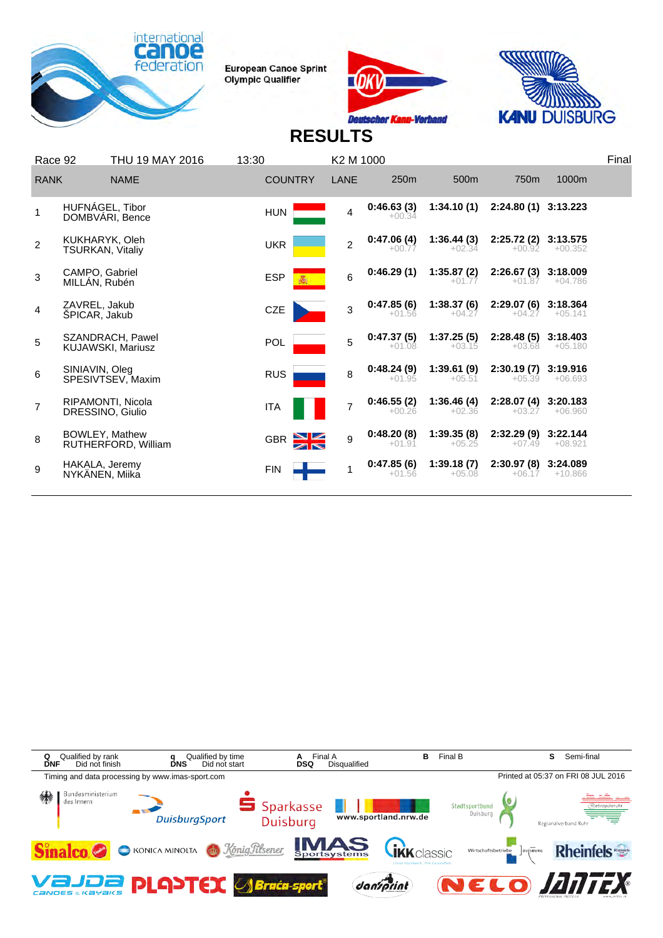





| Race 92        |                                           | THU 19 MAY 2016                              | 13:30          | K2 M 1000      |                        |                        |                                   |                       | Final |
|----------------|-------------------------------------------|----------------------------------------------|----------------|----------------|------------------------|------------------------|-----------------------------------|-----------------------|-------|
| <b>RANK</b>    |                                           | <b>NAME</b>                                  | <b>COUNTRY</b> | LANE           | 250m                   | 500m                   | 750 <sub>m</sub>                  | 1000m                 |       |
|                | HUFNÁGEL, Tibor                           | DOMBVARI, Bence                              | <b>HUN</b>     | 4              | 0:46.63(3)<br>$+00.34$ | 1:34.10(1)             | 2:24.80 (1) 3:13.223              |                       |       |
| $\overline{2}$ | KUKHARYK, Oleh<br><b>TSURKAN, Vitaliy</b> |                                              | <b>UKR</b>     | $\overline{2}$ | 0:47.06(4)<br>$+00.77$ | 1:36.44(3)<br>$+02.34$ | 2:25.72 (2) 3:13.575<br>$+00.92$  | $+00.352$             |       |
| 3              | CAMPO, Gabriel<br>MILLÁN, Rubén           |                                              | <b>ESP</b>     | 6              | 0:46.29(1)             | 1:35.87(2)<br>$+01.77$ | 2:26.67(3)<br>$+01.87$            | 3:18.009<br>$+04.786$ |       |
| 4              | ZAVREL, Jakub<br>SPICAR, Jakub            |                                              | CZE            | 3              | 0:47.85(6)<br>$+01.56$ | 1:38.37(6)<br>$+04.27$ | 2:29.07 (6) 3:18.364<br>$+04.27$  | $+05.141$             |       |
| 5              |                                           | SZANDRACH, Pawel<br><b>KUJAWSKI, Mariusz</b> | <b>POL</b>     | 5              | 0:47.37(5)<br>$+01.08$ | 1:37.25(5)<br>$+03.15$ | $2:28.48(5)$ 3:18.403<br>$+03.68$ | $+05.180$             |       |
| 6              | SINIAVIN, Oleg                            | SPESIVTSEV, Maxim                            | <b>RUS</b>     | 8              | 0:48.24(9)<br>$+01.95$ | 1:39.61(9)<br>$+05.51$ | 2:30.19(7)<br>$+05.39$            | 3:19.916<br>$+06.693$ |       |
| $\overline{7}$ |                                           | <b>RIPAMONTI, Nicola</b><br>DRESSINO, Giulio | <b>ITA</b>     | $\overline{7}$ | 0:46.55(2)<br>$+00.26$ | 1:36.46(4)<br>$+02.36$ | 2:28.07 (4) 3:20.183<br>$+03.27$  | $+06.960$             |       |
| 8              | BOWLEY, Mathew                            | RUTHERFORD, William                          | <b>GBR</b>     | 9              | 0:48.20(8)<br>$+01.91$ | 1:39.35(8)<br>$+05.25$ | 2:32.29(9)<br>$+07.49$            | 3:22.144<br>$+08.921$ |       |
| 9              | HAKALA, Jeremy<br>NYKANEN, Miika          |                                              | <b>FIN</b>     | 1              | 0:47.85(6)<br>$+01.56$ | 1:39.18(7)<br>$+05.08$ | 2:30.97 (8) 3:24.089<br>$+06.17$  | $+10.866$             |       |
|                |                                           |                                              |                |                |                        |                        |                                   |                       |       |

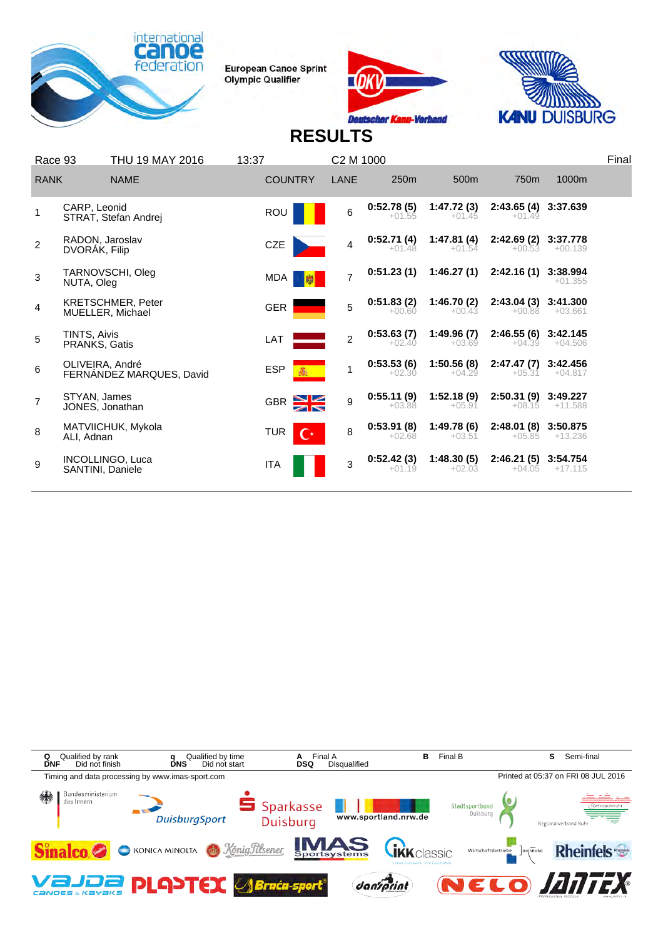





| Race 93        |                                  | THU 19 MAY 2016                              | 13:37                              | C2 M 1000      |                        |                         |                                   |                       | Final |
|----------------|----------------------------------|----------------------------------------------|------------------------------------|----------------|------------------------|-------------------------|-----------------------------------|-----------------------|-------|
| <b>RANK</b>    |                                  | <b>NAME</b>                                  | <b>COUNTRY</b>                     | LANE           | 250m                   | 500 <sub>m</sub>        | 750 <sub>m</sub>                  | 1000m                 |       |
|                | CARP, Leonid                     | STRAT, Stefan Andrej                         | ROU                                | $6\phantom{a}$ | 0:52.78(5)<br>$+01.55$ | 1:47.72 (3)<br>$+01.45$ | 2:43.65 (4) 3:37.639<br>$+01.49$  |                       |       |
| $\overline{2}$ | RADOŅ, Jaroslav<br>DVORAK, Filip |                                              | CZE                                | 4              | 0:52.71(4)<br>$+01.48$ | 1:47.81(4)<br>$+01.54$  | 2:42.69 (2) 3:37.778<br>$+00.53$  | $+00.139$             |       |
| 3              | NUTA, Oleg                       | TARNOVSCHI, Oleg                             | MDA                                | $\overline{7}$ | 0:51.23(1)             | 1:46.27(1)              | 2:42.16(1)                        | 3:38.994<br>$+01.355$ |       |
| $\overline{4}$ |                                  | <b>KRETSCHMER, Peter</b><br>MUELLER, Michael | <b>GER</b>                         | 5              | 0:51.83(2)<br>$+00.60$ | 1:46.70(2)<br>$+00.43$  | 2:43.04 (3) 3:41.300<br>$+00.88$  | +03.661               |       |
| 5              | TINTS, Aivis<br>PRANKS, Gatis    |                                              | LAT                                | $\mathfrak{p}$ | 0:53.63(7)<br>$+02.40$ | 1:49.96(7)<br>$+03.69$  | 2:46.55 (6) 3:42.145<br>$+04.39$  | $+04.506$             |       |
| 6              | OLIVEIRA, André                  | FERNANDEZ MARQUES, David                     | <b>ESP</b>                         | 1              | 0:53.53(6)<br>$+02.30$ | 1:50.56(8)<br>$+04.29$  | 2:47.47 (7) 3:42.456<br>$+05.31$  | $+04.817$             |       |
| $\overline{7}$ | STYAN, James<br>JONES, Jonathan  |                                              | GBR X                              | 9              | 0:55.11(9)<br>$+03.88$ | 1:52.18(9)<br>$+05.91$  | $2:50.31(9)$ 3:49.227<br>$+08.15$ | $+11.588$             |       |
| 8              | ALI, Adnan                       | MATVIICHUK, Mykola                           | <b>TUR</b><br>$\mathbf{C}^{\star}$ | 8              | 0:53.91(8)<br>$+02.68$ | 1:49.78 (6)<br>$+03.51$ | 2:48.01 (8) 3:50.875              | $+05.85 +13.236$      |       |
| 9              | SANTINI, Daniele                 | INCOLLINGO, Luca                             | <b>ITA</b>                         | 3              | 0:52.42(3)<br>$+01.19$ | 1:48.30(5)<br>$+02.03$  | 2:46.21 (5) 3:54.754<br>$+04.05$  | $+17.115$             |       |
|                |                                  |                                              |                                    |                |                        |                         |                                   |                       |       |

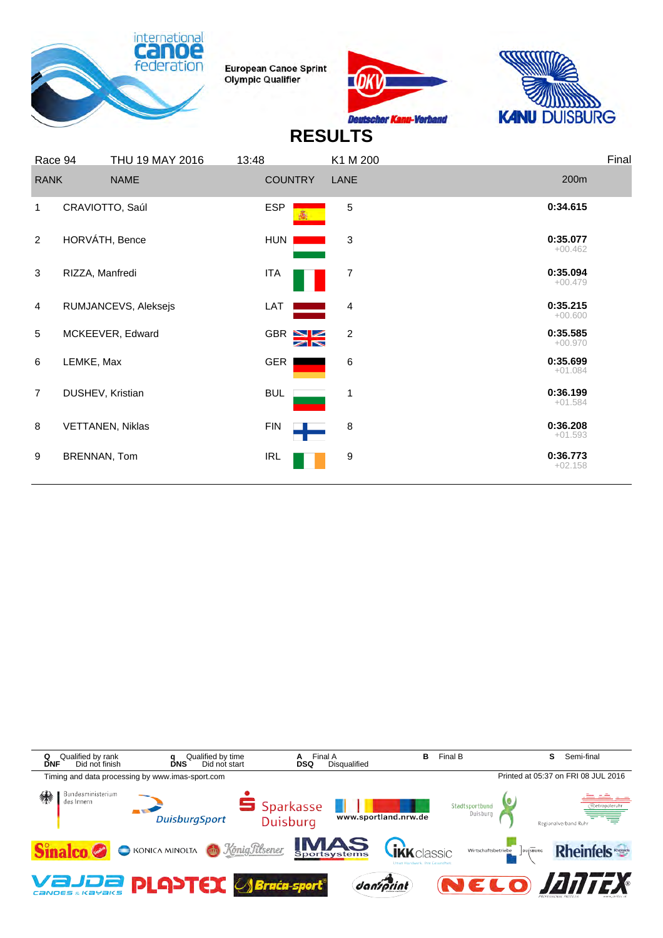





| Race 94        |                         | THU 19 MAY 2016 | 13:48          |       | K1 M 200       |                       | Final |
|----------------|-------------------------|-----------------|----------------|-------|----------------|-----------------------|-------|
| <b>RANK</b>    |                         | <b>NAME</b>     | <b>COUNTRY</b> |       | LANE           | 200m                  |       |
| 1              | CRAVIOTTO, Saúl         |                 | <b>ESP</b>     |       | 5              | 0:34.615              |       |
| 2              | HORVÁTH, Bence          |                 | HUN            |       | 3              | 0:35.077<br>$+00.462$ |       |
| $\mathbf{3}$   | RIZZA, Manfredi         |                 | <b>ITA</b>     |       | 7              | 0:35.094<br>$+00.479$ |       |
| 4              | RUMJANCEVS, Aleksejs    |                 | LAT            |       | 4              | 0:35.215<br>$+00.600$ |       |
| 5              | MCKEEVER, Edward        |                 |                | GBR S | $\overline{c}$ | 0:35.585<br>$+00.970$ |       |
| 6              | LEMKE, Max              |                 | <b>GER</b>     |       | 6              | 0:35.699<br>$+01.084$ |       |
| $\overline{7}$ | DUSHEV, Kristian        |                 | <b>BUL</b>     |       | 1              | 0:36.199<br>$+01.584$ |       |
| 8              | <b>VETTANEN, Niklas</b> |                 | <b>FIN</b>     |       | 8              | 0:36.208<br>$+01.593$ |       |
| 9              | BRENNAN, Tom            |                 | <b>IRL</b>     |       | 9              | 0:36.773<br>$+02.158$ |       |
|                |                         |                 |                |       |                |                       |       |

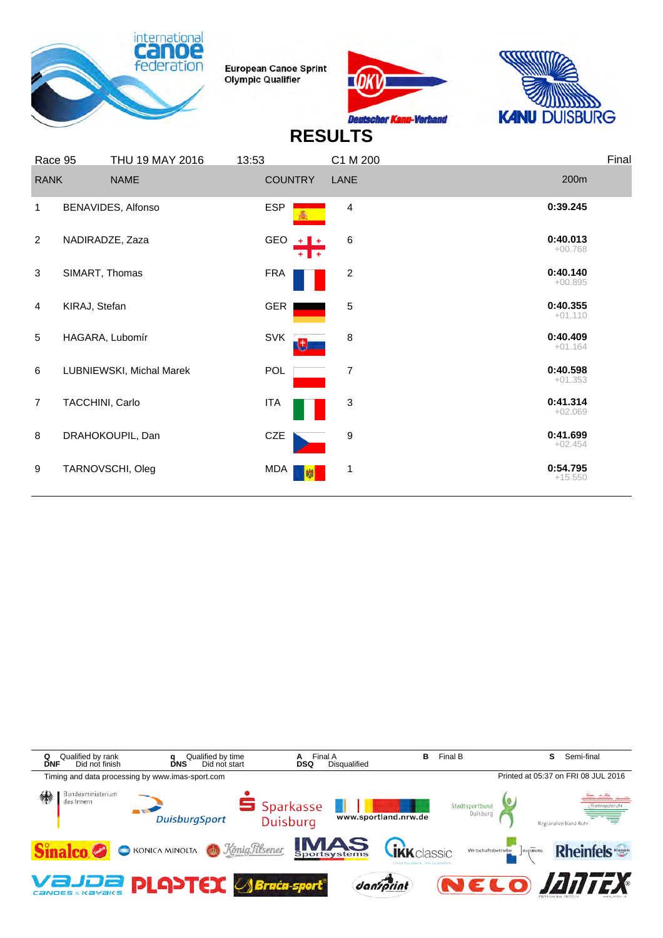





| Race 95        |                 | THU 19 MAY 2016          | 13:53               | C1 M 200       | Final                 |
|----------------|-----------------|--------------------------|---------------------|----------------|-----------------------|
| <b>RANK</b>    |                 | <b>NAME</b>              | <b>COUNTRY</b>      | LANE           | 200m                  |
| 1              |                 | BENAVIDES, Alfonso       | <b>ESP</b>          | 4              | 0:39.245              |
| $\overline{2}$ | NADIRADZE, Zaza |                          | <b>GEO</b><br>- - - | 6              | 0:40.013<br>$+00.768$ |
| 3              | SIMART, Thomas  |                          | <b>FRA</b>          | $\overline{c}$ | 0:40.140<br>$+00.895$ |
| 4              | KIRAJ, Stefan   |                          | GER                 | 5              | 0:40.355<br>$+01.110$ |
| 5              | HAGARA, Lubomír |                          | <b>SVK</b>          | 8              | 0:40.409<br>$+01.164$ |
| 6              |                 | LUBNIEWSKI, Michal Marek | POL                 | 7              | 0:40.598<br>$+01.353$ |
| $\overline{7}$ | TACCHINI, Carlo |                          | <b>ITA</b>          | 3              | 0:41.314<br>$+02.069$ |
| 8              |                 | DRAHOKOUPIL, Dan         | CZE                 | 9              | 0:41.699<br>$+02.454$ |
| 9              |                 | TARNOVSCHI, Oleg         | MDA<br>w            | 1              | 0:54.795<br>$+15.550$ |